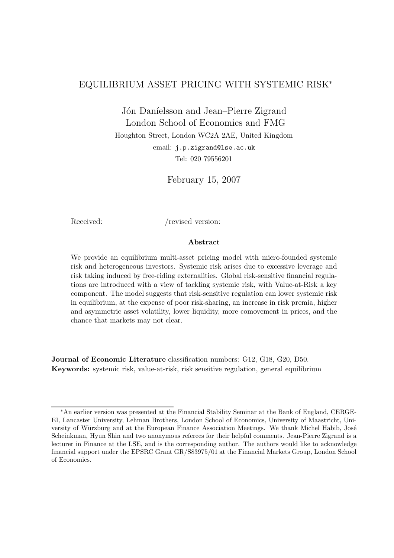### EQUILIBRIUM ASSET PRICING WITH SYSTEMIC RISK<sup>∗</sup>

Jón Daníelsson and Jean–Pierre Zigrand London School of Economics and FMG Houghton Street, London WC2A 2AE, United Kingdom email: j.p.zigrand@lse.ac.uk Tel: 020 79556201

February 15, 2007

Received: /revised version:

#### Abstract

We provide an equilibrium multi-asset pricing model with micro-founded systemic risk and heterogeneous investors. Systemic risk arises due to excessive leverage and risk taking induced by free-riding externalities. Global risk-sensitive financial regulations are introduced with a view of tackling systemic risk, with Value-at-Risk a key component. The model suggests that risk-sensitive regulation can lower systemic risk in equilibrium, at the expense of poor risk-sharing, an increase in risk premia, higher and asymmetric asset volatility, lower liquidity, more comovement in prices, and the chance that markets may not clear.

Journal of Economic Literature classification numbers: G12, G18, G20, D50. Keywords: systemic risk, value-at-risk, risk sensitive regulation, general equilibrium

<sup>∗</sup>An earlier version was presented at the Financial Stability Seminar at the Bank of England, CERGE-EI, Lancaster University, Lehman Brothers, London School of Economics, University of Maastricht, University of Würzburg and at the European Finance Association Meetings. We thank Michel Habib, José Scheinkman, Hyun Shin and two anonymous referees for their helpful comments. Jean-Pierre Zigrand is a lecturer in Finance at the LSE, and is the corresponding author. The authors would like to acknowledge financial support under the EPSRC Grant GR/S83975/01 at the Financial Markets Group, London School of Economics.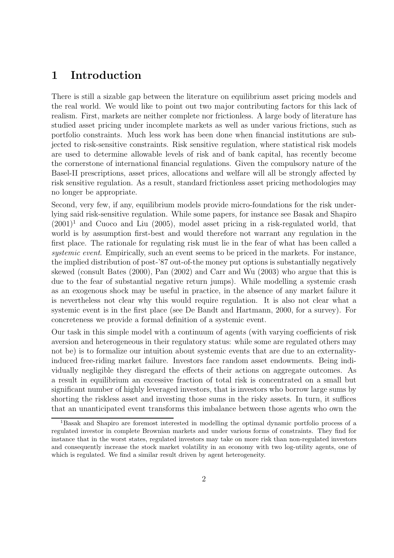## 1 Introduction

There is still a sizable gap between the literature on equilibrium asset pricing models and the real world. We would like to point out two major contributing factors for this lack of realism. First, markets are neither complete nor frictionless. A large body of literature has studied asset pricing under incomplete markets as well as under various frictions, such as portfolio constraints. Much less work has been done when financial institutions are subjected to risk-sensitive constraints. Risk sensitive regulation, where statistical risk models are used to determine allowable levels of risk and of bank capital, has recently become the cornerstone of international financial regulations. Given the compulsory nature of the Basel-II prescriptions, asset prices, allocations and welfare will all be strongly affected by risk sensitive regulation. As a result, standard frictionless asset pricing methodologies may no longer be appropriate.

Second, very few, if any, equilibrium models provide micro-foundations for the risk underlying said risk-sensitive regulation. While some papers, for instance see Basak and Shapiro  $(2001)^1$  and Cuoco and Liu  $(2005)$ , model asset pricing in a risk-regulated world, that world is by assumption first-best and would therefore not warrant any regulation in the first place. The rationale for regulating risk must lie in the fear of what has been called a systemic event. Empirically, such an event seems to be priced in the markets. For instance, the implied distribution of post-'87 out-of-the money put options is substantially negatively skewed (consult Bates (2000), Pan (2002) and Carr and Wu (2003) who argue that this is due to the fear of substantial negative return jumps). While modelling a systemic crash as an exogenous shock may be useful in practice, in the absence of any market failure it is nevertheless not clear why this would require regulation. It is also not clear what a systemic event is in the first place (see De Bandt and Hartmann, 2000, for a survey). For concreteness we provide a formal definition of a systemic event.

Our task in this simple model with a continuum of agents (with varying coefficients of risk aversion and heterogeneous in their regulatory status: while some are regulated others may not be) is to formalize our intuition about systemic events that are due to an externalityinduced free-riding market failure. Investors face random asset endowments. Being individually negligible they disregard the effects of their actions on aggregate outcomes. As a result in equilibrium an excessive fraction of total risk is concentrated on a small but significant number of highly leveraged investors, that is investors who borrow large sums by shorting the riskless asset and investing those sums in the risky assets. In turn, it suffices that an unanticipated event transforms this imbalance between those agents who own the

<sup>1</sup>Basak and Shapiro are foremost interested in modelling the optimal dynamic portfolio process of a regulated investor in complete Brownian markets and under various forms of constraints. They find for instance that in the worst states, regulated investors may take on more risk than non-regulated investors and consequently increase the stock market volatility in an economy with two log-utility agents, one of which is regulated. We find a similar result driven by agent heterogeneity.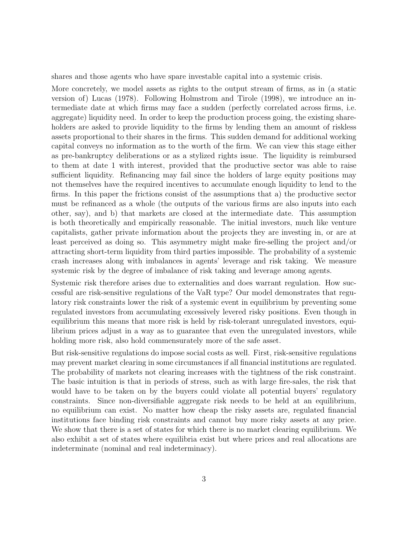shares and those agents who have spare investable capital into a systemic crisis.

More concretely, we model assets as rights to the output stream of firms, as in (a static version of) Lucas (1978). Following Holmstrom and Tirole (1998), we introduce an intermediate date at which firms may face a sudden (perfectly correlated across firms, i.e. aggregate) liquidity need. In order to keep the production process going, the existing shareholders are asked to provide liquidity to the firms by lending them an amount of riskless assets proportional to their shares in the firms. This sudden demand for additional working capital conveys no information as to the worth of the firm. We can view this stage either as pre-bankruptcy deliberations or as a stylized rights issue. The liquidity is reimbursed to them at date 1 with interest, provided that the productive sector was able to raise sufficient liquidity. Refinancing may fail since the holders of large equity positions may not themselves have the required incentives to accumulate enough liquidity to lend to the firms. In this paper the frictions consist of the assumptions that a) the productive sector must be refinanced as a whole (the outputs of the various firms are also inputs into each other, say), and b) that markets are closed at the intermediate date. This assumption is both theoretically and empirically reasonable. The initial investors, much like venture capitalists, gather private information about the projects they are investing in, or are at least perceived as doing so. This asymmetry might make fire-selling the project and/or attracting short-term liquidity from third parties impossible. The probability of a systemic crash increases along with imbalances in agents' leverage and risk taking. We measure systemic risk by the degree of imbalance of risk taking and leverage among agents.

Systemic risk therefore arises due to externalities and does warrant regulation. How successful are risk-sensitive regulations of the VaR type? Our model demonstrates that regulatory risk constraints lower the risk of a systemic event in equilibrium by preventing some regulated investors from accumulating excessively levered risky positions. Even though in equilibrium this means that more risk is held by risk-tolerant unregulated investors, equilibrium prices adjust in a way as to guarantee that even the unregulated investors, while holding more risk, also hold commensurately more of the safe asset.

But risk-sensitive regulations do impose social costs as well. First, risk-sensitive regulations may prevent market clearing in some circumstances if all financial institutions are regulated. The probability of markets not clearing increases with the tightness of the risk constraint. The basic intuition is that in periods of stress, such as with large fire-sales, the risk that would have to be taken on by the buyers could violate all potential buyers' regulatory constraints. Since non-diversifiable aggregate risk needs to be held at an equilibrium, no equilibrium can exist. No matter how cheap the risky assets are, regulated financial institutions face binding risk constraints and cannot buy more risky assets at any price. We show that there is a set of states for which there is no market clearing equilibrium. We also exhibit a set of states where equilibria exist but where prices and real allocations are indeterminate (nominal and real indeterminacy).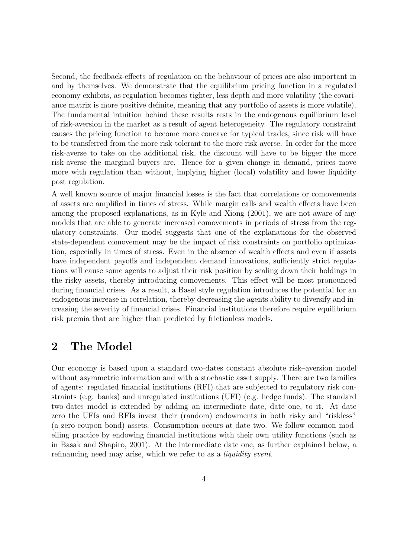Second, the feedback-effects of regulation on the behaviour of prices are also important in and by themselves. We demonstrate that the equilibrium pricing function in a regulated economy exhibits, as regulation becomes tighter, less depth and more volatility (the covariance matrix is more positive definite, meaning that any portfolio of assets is more volatile). The fundamental intuition behind these results rests in the endogenous equilibrium level of risk-aversion in the market as a result of agent heterogeneity. The regulatory constraint causes the pricing function to become more concave for typical trades, since risk will have to be transferred from the more risk-tolerant to the more risk-averse. In order for the more risk-averse to take on the additional risk, the discount will have to be bigger the more risk-averse the marginal buyers are. Hence for a given change in demand, prices move more with regulation than without, implying higher (local) volatility and lower liquidity post regulation.

A well known source of major financial losses is the fact that correlations or comovements of assets are amplified in times of stress. While margin calls and wealth effects have been among the proposed explanations, as in Kyle and Xiong (2001), we are not aware of any models that are able to generate increased comovements in periods of stress from the regulatory constraints. Our model suggests that one of the explanations for the observed state-dependent comovement may be the impact of risk constraints on portfolio optimization, especially in times of stress. Even in the absence of wealth effects and even if assets have independent payoffs and independent demand innovations, sufficiently strict regulations will cause some agents to adjust their risk position by scaling down their holdings in the risky assets, thereby introducing comovements. This effect will be most pronounced during financial crises. As a result, a Basel style regulation introduces the potential for an endogenous increase in correlation, thereby decreasing the agents ability to diversify and increasing the severity of financial crises. Financial institutions therefore require equilibrium risk premia that are higher than predicted by frictionless models.

# 2 The Model

Our economy is based upon a standard two-dates constant absolute risk–aversion model without asymmetric information and with a stochastic asset supply. There are two families of agents: regulated financial institutions (RFI) that are subjected to regulatory risk constraints (e.g. banks) and unregulated institutions (UFI) (e.g. hedge funds). The standard two-dates model is extended by adding an intermediate date, date one, to it. At date zero the UFIs and RFIs invest their (random) endowments in both risky and "riskless" (a zero-coupon bond) assets. Consumption occurs at date two. We follow common modelling practice by endowing financial institutions with their own utility functions (such as in Basak and Shapiro, 2001). At the intermediate date one, as further explained below, a refinancing need may arise, which we refer to as a liquidity event.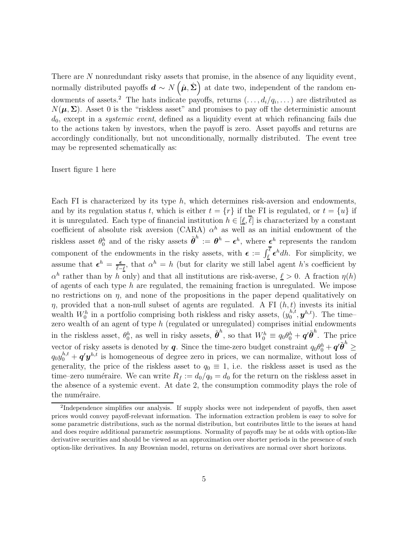There are N nonredundant risky assets that promise, in the absence of any liquidity event, normally distributed payoffs  $\boldsymbol{d} \sim N\left(\hat{\boldsymbol{\mu}}, \hat{\boldsymbol{\Sigma}}\right)$  at date two, independent of the random endowments of assets.<sup>2</sup> The hats indicate payoffs, returns  $(\ldots, d_i/q_i, \ldots)$  are distributed as  $N(\mu, \Sigma)$ . Asset 0 is the "riskless asset" and promises to pay off the deterministic amount  $d_0$ , except in a *systemic event*, defined as a liquidity event at which refinancing fails due to the actions taken by investors, when the payoff is zero. Asset payoffs and returns are accordingly conditionally, but not unconditionally, normally distributed. The event tree may be represented schematically as:

#### Insert figure 1 here

Each FI is characterized by its type  $h$ , which determines risk-aversion and endowments, and by its regulation status t, which is either  $t = \{r\}$  if the FI is regulated, or  $t = \{u\}$  if it is unregulated. Each type of financial institution  $h \in [\underline{\ell}, \overline{\ell}]$  is characterized by a constant coefficient of absolute risk aversion (CARA)  $\alpha^h$  as well as an initial endowment of the riskless asset  $\theta_0^h$  and of the risky assets  $\tilde{\theta}^h := \theta^h - \epsilon^h$ , where  $\epsilon^h$  represents the random component of the endowments in the risky assets, with  $\epsilon := \int_{\ell}^{\ell} \epsilon^{h} dh$ . For simplicity, we assume that  $\epsilon^h = \frac{\epsilon}{\ell}$  $\frac{\epsilon}{\ell-\ell}$ , that  $\alpha^h = h$  (but for clarity we still label agent h's coefficient by  $\alpha^h$  rather than by h only) and that all institutions are risk-averse,  $\underline{\ell} > 0$ . A fraction  $\eta(h)$ of agents of each type  $h$  are regulated, the remaining fraction is unregulated. We impose no restrictions on  $\eta$ , and none of the propositions in the paper depend qualitatively on  $\eta$ , provided that a non-null subset of agents are regulated. A FI  $(h, t)$  invests its initial wealth  $W_0^h$  in a portfolio comprising both riskless and risky assets,  $(y_0^{h,t})$  $\mathbf{y}^{h,t}, \mathbf{y}^{h,t}$ ). The timezero wealth of an agent of type  $h$  (regulated or unregulated) comprises initial endowments in the riskless asset,  $\theta_0^h$ , as well in risky assets,  $\tilde{\boldsymbol{\theta}}^h$ , so that  $W_0^h \equiv q_0 \theta_0^h + \boldsymbol{q'} \tilde{\boldsymbol{\theta}}^h$ . The price vector of risky assets is denoted by q. Since the time-zero budget constraint  $q_0\theta_0^h + \boldsymbol{q'}\tilde{\boldsymbol{\theta}}^h$ ≥  $q_0y_0^{h,t} + q'y^{h,t}$  is homogeneous of degree zero in prices, we can normalize, without loss of generality, the price of the riskless asset to  $q_0 \equiv 1$ , i.e. the riskless asset is used as the time–zero numéraire. We can write  $R_f := d_0/q_0 = d_0$  for the return on the riskless asset in the absence of a systemic event. At date 2, the consumption commodity plays the role of the numéraire.

<sup>&</sup>lt;sup>2</sup>Independence simplifies our analysis. If supply shocks were not independent of payoffs, then asset prices would convey payoff-relevant information. The information extraction problem is easy to solve for some parametric distributions, such as the normal distribution, but contributes little to the issues at hand and does require additional parametric assumptions. Normality of payoffs may be at odds with option-like derivative securities and should be viewed as an approximation over shorter periods in the presence of such option-like derivatives. In any Brownian model, returns on derivatives are normal over short horizons.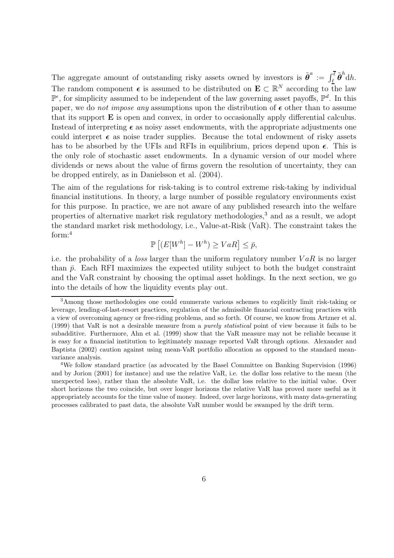The aggregate amount of outstanding risky assets owned by investors is  $\tilde{\boldsymbol{\theta}}^a := \int_{\ell}^{\overline{\ell}} \tilde{\boldsymbol{\theta}}^h dh$ . The random component  $\epsilon$  is assumed to be distributed on  $\mathbf{E} \subset \mathbb{R}^N$  according to the law  $\mathbb{P}^{\epsilon}$ , for simplicity assumed to be independent of the law governing asset payoffs,  $\mathbb{P}^d$ . In this paper, we do *not impose any* assumptions upon the distribution of  $\epsilon$  other than to assume that its support E is open and convex, in order to occasionally apply differential calculus. Instead of interpreting  $\epsilon$  as noisy asset endowments, with the appropriate adjustments one could interpret  $\epsilon$  as noise trader supplies. Because the total endowment of risky assets has to be absorbed by the UFIs and RFIs in equilibrium, prices depend upon  $\epsilon$ . This is the only role of stochastic asset endowments. In a dynamic version of our model where dividends or news about the value of firms govern the resolution of uncertainty, they can be dropped entirely, as in Danielsson et al. (2004).

The aim of the regulations for risk-taking is to control extreme risk-taking by individual financial institutions. In theory, a large number of possible regulatory environments exist for this purpose. In practice, we are not aware of any published research into the welfare properties of alternative market risk regulatory methodologies,<sup>3</sup> and as a result, we adopt the standard market risk methodology, i.e., Value-at-Risk (VaR). The constraint takes the form:<sup>4</sup>

$$
\mathbb{P}\left[ (E[W^h] - W^h) \geq VaR \right] \leq \bar{p},
$$

i.e. the probability of a *loss* larger than the uniform regulatory number  $VaR$  is no larger than  $\bar{p}$ . Each RFI maximizes the expected utility subject to both the budget constraint and the VaR constraint by choosing the optimal asset holdings. In the next section, we go into the details of how the liquidity events play out.

<sup>&</sup>lt;sup>3</sup>Among those methodologies one could enumerate various schemes to explicitly limit risk-taking or leverage, lending-of-last-resort practices, regulation of the admissible financial contracting practices with a view of overcoming agency or free-riding problems, and so forth. Of course, we know from Artzner et al. (1999) that VaR is not a desirable measure from a purely statistical point of view because it fails to be subadditive. Furthermore, Ahn et al. (1999) show that the VaR measure may not be reliable because it is easy for a financial institution to legitimately manage reported VaR through options. Alexander and Baptista (2002) caution against using mean-VaR portfolio allocation as opposed to the standard meanvariance analysis.

<sup>4</sup>We follow standard practice (as advocated by the Basel Committee on Banking Supervision (1996) and by Jorion (2001) for instance) and use the relative VaR, i.e. the dollar loss relative to the mean (the unexpected loss), rather than the absolute VaR, i.e. the dollar loss relative to the initial value. Over short horizons the two coincide, but over longer horizons the relative VaR has proved more useful as it appropriately accounts for the time value of money. Indeed, over large horizons, with many data-generating processes calibrated to past data, the absolute VaR number would be swamped by the drift term.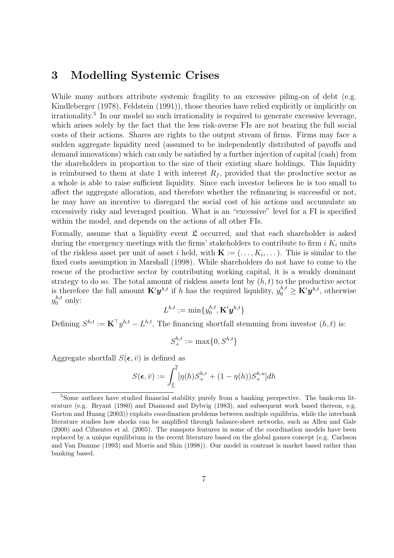## 3 Modelling Systemic Crises

While many authors attribute systemic fragility to an excessive piling-on of debt (e.g. Kindleberger (1978), Feldstein (1991)), those theories have relied explicitly or implicitly on irrationality.<sup>5</sup> In our model no such irrationality is required to generate excessive leverage, which arises solely by the fact that the less risk-averse FIs are not bearing the full social costs of their actions. Shares are rights to the output stream of firms. Firms may face a sudden aggregate liquidity need (assumed to be independently distributed of payoffs and demand innovations) which can only be satisfied by a further injection of capital (cash) from the shareholders in proportion to the size of their existing share holdings. This liquidity is reimbursed to them at date 1 with interest  $R_f$ , provided that the productive sector as a whole is able to raise sufficient liquidity. Since each investor believes he is too small to affect the aggregate allocation, and therefore whether the refinancing is successful or not, he may have an incentive to disregard the social cost of his actions and accumulate an excessively risky and leveraged position. What is an "excessive" level for a FI is specified within the model, and depends on the actions of all other FIs.

Formally, assume that a liquidity event  $\mathfrak L$  occurred, and that each shareholder is asked during the emergency meetings with the firms' stakeholders to contribute to firm  $i K_i$  units of the riskless asset per unit of asset i held, with  $\mathbf{K} := (\ldots, K_i, \ldots)$ . This is similar to the fixed costs assumption in Marshall (1998). While shareholders do not have to come to the rescue of the productive sector by contributing working capital, it is a weakly dominant strategy to do so. The total amount of riskless assets lent by  $(h, t)$  to the productive sector is therefore the full amount  $\mathbf{K}'\mathbf{y}^{h,t}$  if h has the required liquidity,  $y_0^{h,t} \geq \mathbf{K}'\mathbf{y}^{h,t}$ , otherwise  $y_0^{h,t}$  only:

$$
L^{h,t} := \min\{y_0^{h,t}, \mathbf{K}'\boldsymbol{y}^{h,t}\}
$$

Defining  $S^{h,t} := \mathbf{K}^\top y^{h,t} - L^{h,t}$ , The financing shortfall stemming from investor  $(h, t)$  is:

$$
S^{h,t}_+ := \max\{0, S^{h,t}\}
$$

Aggregate shortfall  $S(\epsilon, \bar{v})$  is defined as

$$
S(\epsilon, \bar{v}) := \int_{\underline{\ell}}^{\overline{\ell}} [\eta(h)S_+^{h,r} + (1 - \eta(h))S_+^{h,u}]dh
$$

<sup>&</sup>lt;sup>5</sup>Some authors have studied financial stability purely from a banking perspective. The bank-run literature (e.g. Bryant (1980) and Diamond and Dybvig (1983), and subsequent work based thereon, e.g. Gorton and Huang (2003)) exploits coordination problems between multiple equilibria, while the interbank literature studies how shocks can be amplified through balance-sheet networks, such as Allen and Gale (2000) and Cifuentes et al. (2005). The sunspots features in some of the coordination models have been replaced by a unique equilibrium in the recent literature based on the global games concept (e.g. Carlsson and Van Damme (1993) and Morris and Shin (1998)). Our model in contrast is market based rather than banking based.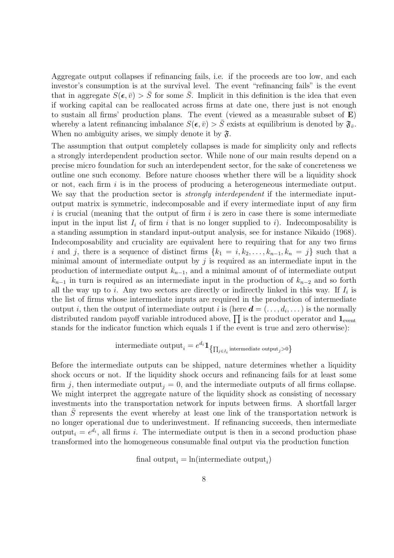Aggregate output collapses if refinancing fails, i.e. if the proceeds are too low, and each investor's consumption is at the survival level. The event "refinancing fails" is the event that in aggregate  $S(\epsilon, \bar{v}) > \bar{S}$  for some  $\bar{S}$ . Implicit in this definition is the idea that even if working capital can be reallocated across firms at date one, there just is not enough to sustain all firms' production plans. The event (viewed as a measurable subset of  $E$ ) whereby a latent refinancing imbalance  $S(\epsilon, \bar{v}) > \bar{S}$  exists at equilibrium is denoted by  $\mathfrak{F}_{\bar{v}}$ . When no ambiguity arises, we simply denote it by  $\mathfrak{F}$ .

The assumption that output completely collapses is made for simplicity only and reflects a strongly interdependent production sector. While none of our main results depend on a precise micro foundation for such an interdependent sector, for the sake of concreteness we outline one such economy. Before nature chooses whether there will be a liquidity shock or not, each firm  $i$  is in the process of producing a heterogeneous intermediate output. We say that the production sector is *strongly interdependent* if the intermediate inputoutput matrix is symmetric, indecomposable and if every intermediate input of any firm  $i$  is crucial (meaning that the output of firm  $i$  is zero in case there is some intermediate input in the input list  $I_i$  of firm i that is no longer supplied to i). Indecomposability is a standing assumption in standard input-output analysis, see for instance Nikaido (1968). Indecomposability and cruciality are equivalent here to requiring that for any two firms i and j, there is a sequence of distinct firms  $\{k_1 = i, k_2, \ldots, k_{n-1}, k_n = j\}$  such that a minimal amount of intermediate output by  $j$  is required as an intermediate input in the production of intermediate output  $k_{n-1}$ , and a minimal amount of of intermediate output  $k_{n-1}$  in turn is required as an intermediate input in the production of  $k_{n-2}$  and so forth all the way up to i. Any two sectors are directly or indirectly linked in this way. If  $I_i$  is the list of firms whose intermediate inputs are required in the production of intermediate output *i*, then the output of intermediate output *i* is (here  $\boldsymbol{d} = (\ldots, d_i, \ldots)$  is the normally distributed random payoff variable introduced above,  $\prod$  is the product operator and  $\mathbf{1}_{\text{event}}$ stands for the indicator function which equals 1 if the event is true and zero otherwise):

intermediate output
$$
\text{intermediate output}_{i} = e^{d_i} \mathbf{1}_{\{\prod_{j \in I_i} \text{intermediate output}_{j} > 0\}}
$$

Before the intermediate outputs can be shipped, nature determines whether a liquidity shock occurs or not. If the liquidity shock occurs and refinancing fails for at least some firm j, then intermediate output,  $= 0$ , and the intermediate outputs of all firms collapse. We might interpret the aggregate nature of the liquidity shock as consisting of necessary investments into the transportation network for inputs between firms. A shortfall larger than  $\overline{S}$  represents the event whereby at least one link of the transportation network is no longer operational due to underinvestment. If refinancing succeeds, then intermediate output<sub>i</sub> =  $e^{d_i}$ , all firms *i*. The intermediate output is then in a second production phase transformed into the homogeneous consumable final output via the production function

$$
final output_i = ln(intermediate output_i)
$$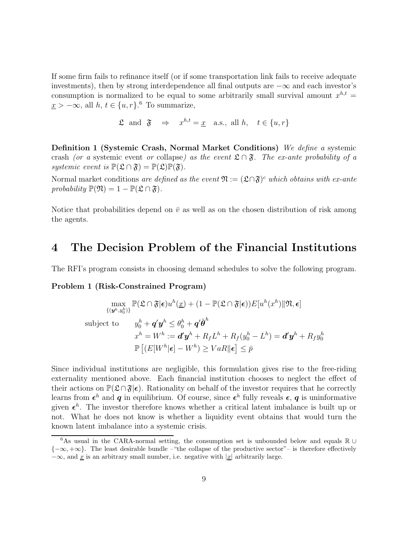If some firm fails to refinance itself (or if some transportation link fails to receive adequate investments), then by strong interdependence all final outputs are  $-\infty$  and each investor's consumption is normalized to be equal to some arbitrarily small survival amount  $x^{h,t} =$  $\underline{x} > -\infty$ , all  $h, t \in \{u, r\}$ .<sup>6</sup> To summarize,

$$
\mathfrak{L} \quad \text{and} \quad \mathfrak{F} \quad \Rightarrow \quad x^{h,t} = \underline{x} \quad \text{a.s., all } h, \quad t \in \{u, r\}
$$

Definition 1 (Systemic Crash, Normal Market Conditions) We define a systemic crash (or a systemic event or collapse) as the event  $\mathfrak{L} \cap \mathfrak{F}$ . The ex-ante probability of a systemic event is  $\mathbb{P}(\mathfrak{L} \cap \mathfrak{F}) = \mathbb{P}(\mathfrak{L}) \mathbb{P}(\mathfrak{F}).$ 

Normal market conditions are defined as the event  $\mathfrak{N} := (\mathfrak{L} \cap \mathfrak{F})^c$  which obtains with ex-ante probability  $\mathbb{P}(\mathfrak{N}) = 1 - \mathbb{P}(\mathfrak{L} \cap \mathfrak{F}).$ 

Notice that probabilities depend on  $\bar{v}$  as well as on the chosen distribution of risk among the agents.

## 4 The Decision Problem of the Financial Institutions

The RFI's program consists in choosing demand schedules to solve the following program.

#### Problem 1 (Risk-Constrained Program)

$$
\max_{\{(y^h, y^h_0)\}} \mathbb{P}(\mathfrak{L} \cap \mathfrak{F} | \boldsymbol{\epsilon}) u^h(\underline{x}) + (1 - \mathbb{P}(\mathfrak{L} \cap \mathfrak{F} | \boldsymbol{\epsilon})) E[u^h(x^h) \| \mathfrak{N}, \boldsymbol{\epsilon}]
$$
\nsubject to\n
$$
y_0^h + q' y^h \le \theta_0^h + q' \tilde{\boldsymbol{\theta}}^h
$$
\n
$$
x^h = W^h := \boldsymbol{d}' \boldsymbol{y}^h + R_f L^h + R_f (y_0^h - L^h) = \boldsymbol{d}' \boldsymbol{y}^h + R_f y_0^h
$$
\n
$$
\mathbb{P} \left[ (E[W^h | \boldsymbol{\epsilon}] - W^h) \geq VaR \| \boldsymbol{\epsilon} \right] \leq \bar{p}
$$

Since individual institutions are negligible, this formulation gives rise to the free-riding externality mentioned above. Each financial institution chooses to neglect the effect of their actions on  $\mathbb{P}(\mathcal{L}\cap\mathcal{F}|\epsilon)$ . Rationality on behalf of the investor requires that he correctly learns from  $\epsilon^h$  and  $q$  in equilibrium. Of course, since  $\epsilon^h$  fully reveals  $\epsilon, q$  is uninformative given  $\epsilon^h$ . The investor therefore knows whether a critical latent imbalance is built up or not. What he does not know is whether a liquidity event obtains that would turn the known latent imbalance into a systemic crisis.

<sup>6</sup>As usual in the CARA-normal setting, the consumption set is unbounded below and equals <sup>R</sup> <sup>∪</sup>  ${-\infty, +\infty}$ . The least desirable bundle –"the collapse of the productive sector"– is therefore effectively  $-\infty$ , and <u>x</u> is an arbitrary small number, i.e. negative with  $|x|$  arbitrarily large.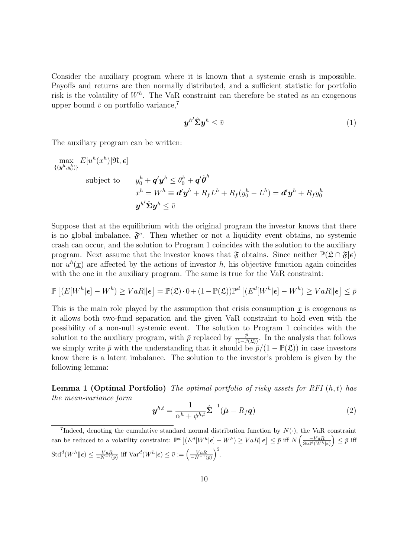Consider the auxiliary program where it is known that a systemic crash is impossible. Payoffs and returns are then normally distributed, and a sufficient statistic for portfolio risk is the volatility of  $W^h$ . The VaR constraint can therefore be stated as an exogenous upper bound  $\bar{v}$  on portfolio variance,<sup>7</sup>

$$
\boldsymbol{y}^{h'} \hat{\boldsymbol{\Sigma}} \boldsymbol{y}^h \leq \bar{v} \tag{1}
$$

The auxiliary program can be written:

$$
\max_{\{(y^h, y_0^h)\}} E[u^h(x^h)|\mathfrak{N}, \epsilon]
$$
\nsubject to\n
$$
y_0^h + q' y^h \le \theta_0^h + q' \tilde{\theta}^h
$$
\n
$$
x^h = W^h \equiv d' y^h + R_f L^h + R_f (y_0^h - L^h) = d' y^h + R_f y_0^h
$$
\n
$$
y^{h'} \hat{\Sigma} y^h \le \bar{v}
$$

Suppose that at the equilibrium with the original program the investor knows that there is no global imbalance,  $\mathfrak{F}^c$ . Then whether or not a liquidity event obtains, no systemic crash can occur, and the solution to Program 1 coincides with the solution to the auxiliary program. Next assume that the investor knows that  $\mathfrak{F}$  obtains. Since neither  $\mathbb{P}(\mathfrak{L} \cap \mathfrak{F}|\epsilon)$ nor  $u^h(\underline{x})$  are affected by the actions of investor h, his objective function again coincides with the one in the auxiliary program. The same is true for the VaR constraint:

$$
\mathbb{P}\left[ (E[W^h|\boldsymbol{\epsilon}] - W^h) \geq VaR \|\boldsymbol{\epsilon} \right] = \mathbb{P}(\mathfrak{L}) \cdot 0 + (1 - \mathbb{P}(\mathfrak{L})) \mathbb{P}^d \left[ (E^d[W^h|\boldsymbol{\epsilon}] - W^h) \geq VaR \|\boldsymbol{\epsilon} \right] \leq \bar{p}
$$

This is the main role played by the assumption that crisis consumption  $x$  is exogenous as it allows both two-fund separation and the given VaR constraint to hold even with the possibility of a non-null systemic event. The solution to Program 1 coincides with the solution to the auxiliary program, with  $\bar{p}$  replaced by  $\frac{\bar{p}}{(1-\bar{p}(\bar{x}))}$ . In the analysis that follows we simply write  $\bar{p}$  with the understanding that it should be  $\bar{p}/(1 - \mathbb{P}(\mathfrak{L}))$  in case investors know there is a latent imbalance. The solution to the investor's problem is given by the following lemma:

**Lemma 1 (Optimal Portfolio)** The optimal portfolio of risky assets for RFI  $(h, t)$  has the mean-variance form

$$
\boldsymbol{y}^{h,t} = \frac{1}{\alpha^h + \phi^{h,t}} \hat{\boldsymbol{\Sigma}}^{-1} (\hat{\boldsymbol{\mu}} - R_f \boldsymbol{q})
$$
(2)

<sup>7</sup>Indeed, denoting the cumulative standard normal distribution function by  $N(\cdot)$ , the VaR constraint can be reduced to a volatility constraint:  $\mathbb{P}^d \left[ (E^d[W^h | \epsilon] - W^h) \geq VaR || \epsilon \right] \leq \bar{p}$  iff  $N \left( \frac{-VaR}{\text{Std}^d(W^h | \epsilon)} \right) \leq \bar{p}$  iff  $\text{Std}^d(W^h \|\boldsymbol{\epsilon}) \le \frac{VaR}{-N^{-1}(\bar{p})} \text{ iff } \text{Var}^d(W^h \|\boldsymbol{\epsilon}) \le \bar{v} := \left(\frac{VaR}{-N^{-1}(\bar{p})}\right)^2.$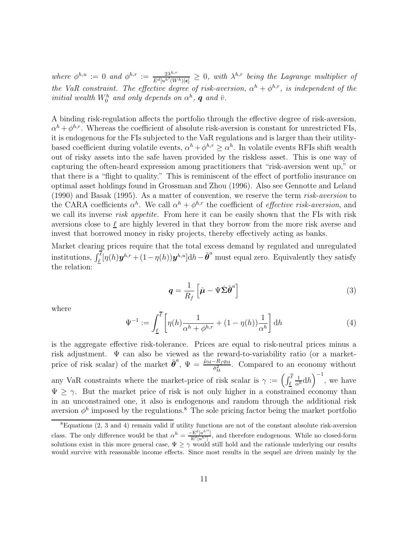where  $\phi^{h,u} := 0$  and  $\phi^{h,r} := \frac{2\lambda^{h,r}}{F^d \ln h'(W)}$  $\frac{2\lambda^{h,r}}{E^d[u^{h'}(W^h)|\epsilon]} \geq 0$ , with  $\lambda^{h,r}$  being the Lagrange multiplier of the VaR constraint. The effective degree of risk-aversion,  $\alpha^{h} + \phi^{h,r}$ , is independent of the initial wealth  $W_0^h$  and only depends on  $\alpha^h$ , **q** and  $\bar{v}$ .

A binding risk-regulation affects the portfolio through the effective degree of risk-aversion,  $\alpha^h + \phi^{h,r}$ . Whereas the coefficient of absolute risk-aversion is constant for unrestricted FIs, it is endogenous for the FIs subjected to the VaR regulations and is larger than their utilitybased coefficient during volatile events,  $\alpha^h + \phi^{h,r} \geq \alpha^h$ . In volatile events RFIs shift wealth out of risky assets into the safe haven provided by the riskless asset. This is one way of capturing the often-heard expression among practitioners that "risk-aversion went up," or that there is a "flight to quality." This is reminiscent of the effect of portfolio insurance on optimal asset holdings found in Grossman and Zhou (1996). Also see Gennotte and Leland (1990) and Basak (1995). As a matter of convention, we reserve the term risk-aversion to the CARA coefficients  $\alpha^h$ . We call  $\alpha^h + \phi^{h,r}$  the coefficient of *effective risk-aversion*, and we call its inverse *risk appetite*. From here it can be easily shown that the FIs with risk aversions close to  $\ell$  are highly levered in that they borrow from the more risk averse and invest that borrowed money in risky projects, thereby effectively acting as banks.

Market clearing prices require that the total excess demand by regulated and unregulated institutions,  $\int_{\ell}^{\overline{\ell}} [\eta(h)y^{h,r} + (1 - \eta(h))y^{h,u}] dh - \tilde{\theta}^a$  must equal zero. Equivalently they satisfy the relation:

$$
\boldsymbol{q} = \frac{1}{R_f} \left[ \hat{\boldsymbol{\mu}} - \boldsymbol{\Psi} \hat{\boldsymbol{\Sigma}} \tilde{\boldsymbol{\theta}}^a \right]
$$
 (3)

where

$$
\Psi^{-1} := \int_{\underline{\ell}}^{\overline{\ell}} \left[ \eta(h) \frac{1}{\alpha^h + \phi^{h,r}} + (1 - \eta(h)) \frac{1}{\alpha^h} \right] dh \tag{4}
$$

is the aggregate effective risk-tolerance. Prices are equal to risk-neutral prices minus a risk adjustment.  $\Psi$  can also be viewed as the reward-to-variability ratio (or a marketprice of risk scalar) of the market  $\tilde{\theta}^a$ ,  $\Psi = \frac{\hat{\mu}_M - R_f q_M}{\hat{\sigma}_M^2}$ . Compared to an economy without any VaR constraints where the market-price of risk scalar is  $\gamma := \left(\int_{\underline{\ell}}^{\overline{\ell}}$  $\frac{1}{\alpha^h}$ dh $\bigg)^{-1}$ , we have  $\Psi \geq \gamma$ . But the market price of risk is not only higher in a constrained economy than in an unconstrained one, it also is endogenous and random through the additional risk aversion  $\phi^h$  imposed by the regulations.<sup>8</sup> The sole pricing factor being the market portfolio

 $8$ Equations (2, 3 and 4) remain valid if utility functions are not of the constant absolute risk-aversion class. The only difference would be that  $\alpha^h = \frac{-\mathbf{E}^d[u^{h'}]}{\mathbf{E}^d[u^{h'}]}$  $\frac{E\left[u^{h}\right]}{E^{d}[u^{h'}]}$ , and therefore endogenous. While no closed-form solutions exist in this more general case,  $\Psi \geq \gamma$  would still hold and the rationale underlying our results would survive with reasonable income effects. Since most results in the sequel are driven mainly by the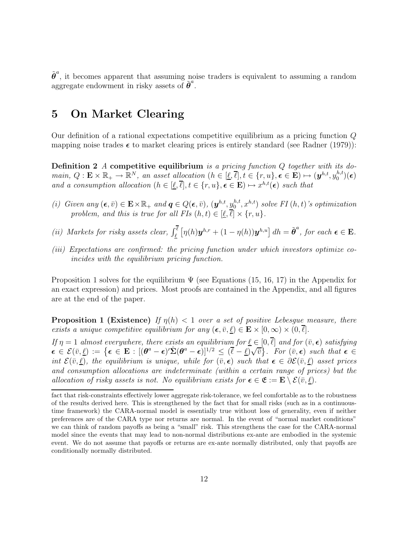$\tilde{\boldsymbol{\theta}}^a$ , it becomes apparent that assuming noise traders is equivalent to assuming a random aggregate endowment in risky assets of  $\ddot{\theta}^a$ .

# 5 On Market Clearing

Our definition of a rational expectations competitive equilibrium as a pricing function Q mapping noise trades  $\epsilon$  to market clearing prices is entirely standard (see Radner (1979)):

**Definition 2** A competitive equilibrium is a pricing function  $Q$  together with its do $main, Q: \mathbf{E} \times \mathbb{R}_+ \to \mathbb{R}^N$ , an asset allocation  $(h \in [\underline{\ell}, \overline{\ell}], t \in \{r, u\}, \epsilon \in \mathbf{E}) \mapsto (\mathbf{y}^{h,t}, y_0^{h,t})$  $\binom{n,t}{0}(\boldsymbol{\epsilon})$ and a consumption allocation  $(h \in [\underline{\ell}, \overline{\ell}], t \in \{r, u\}, \epsilon \in \mathbf{E}) \mapsto x^{h,t}(\epsilon)$  such that

- (i) Given any  $(\epsilon, \bar{v}) \in \mathbf{E} \times \mathbb{R}_+$  and  $\mathbf{q} \in Q(\epsilon, \bar{v})$ ,  $(\mathbf{y}^{h,t}, \underline{y}_0^{h,t})$  $\binom{h,t}{0}, x^{h,t}$ ) solve FI  $(h,t)$ 's optimization problem, and this is true for all FIs  $(h, t) \in [\underline{\ell}, \ell] \times \{r, u\}.$
- (ii) Markets for risky assets clear,  $\int_{\ell}^{\overline{\ell}} [\eta(h)y^{h,r} + (1 \eta(h))y^{h,u}] dh = \tilde{\theta}^a$ , for each  $\epsilon \in \mathbf{E}$ .
- (iii) Expectations are confirmed: the pricing function under which investors optimize coincides with the equilibrium pricing function.

Proposition 1 solves for the equilibrium  $\Psi$  (see Equations (15, 16, 17) in the Appendix for an exact expression) and prices. Most proofs are contained in the Appendix, and all figures are at the end of the paper.

**Proposition 1 (Existence)** If  $\eta(h) < 1$  over a set of positive Lebesgue measure, there exists a unique competitive equilibrium for any  $(\epsilon, \bar{v}, \ell) \in \mathbf{E} \times [0, \infty) \times (0, \bar{\ell}]$ .

If  $\eta = 1$  almost everywhere, there exists an equilibrium for  $\underline{\ell} \in [0, \overline{\ell}]$  and for  $(\overline{v}, \epsilon)$  satisfying  $\epsilon \in \mathcal{E}(\bar{v}, \underline{\ell}) := \{ \epsilon \in \mathbf{E} : [(\theta^a - \epsilon)^{\prime} \hat{\Sigma}(\theta^a - \epsilon)]^{1/2} \leq (\bar{\ell} - \underline{\ell})\sqrt{\bar{v}} \}.$  For  $(\bar{v}, \epsilon)$  such that  $\epsilon \in$ int  $\mathcal{E}(\bar{v}, \underline{\ell})$ , the equilibrium is unique, while for  $(\bar{v}, \epsilon)$  such that  $\epsilon \in \partial \mathcal{E}(\bar{v}, \underline{\ell})$  asset prices and consumption allocations are indeterminate (within a certain range of prices) but the allocation of risky assets is not. No equilibrium exists for  $\epsilon \in \mathfrak{E} := \mathbf{E} \setminus \mathcal{E}(\bar{v}, \ell)$ .

fact that risk-constraints effectively lower aggregate risk-tolerance, we feel comfortable as to the robustness of the results derived here. This is strengthened by the fact that for small risks (such as in a continuoustime framework) the CARA-normal model is essentially true without loss of generality, even if neither preferences are of the CARA type nor returns are normal. In the event of "normal market conditions" we can think of random payoffs as being a "small" risk. This strengthens the case for the CARA-normal model since the events that may lead to non-normal distributions ex-ante are embodied in the systemic event. We do not assume that payoffs or returns are ex-ante normally distributed, only that payoffs are conditionally normally distributed.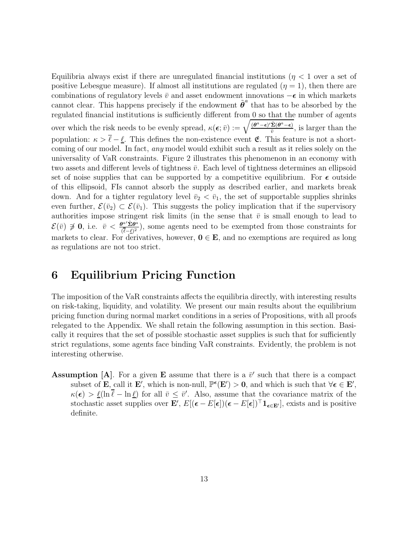Equilibria always exist if there are unregulated financial institutions ( $n < 1$  over a set of positive Lebesgue measure). If almost all institutions are regulated  $(\eta = 1)$ , then there are combinations of regulatory levels  $\bar{v}$  and asset endowment innovations  $-\epsilon$  in which markets cannot clear. This happens precisely if the endowment  $\tilde{\boldsymbol{\theta}}^a$  that has to be absorbed by the regulated financial institutions is sufficiently different from 0 so that the number of agents over which the risk needs to be evenly spread,  $\kappa(\epsilon, \bar{v}) := \sqrt{\frac{(\theta^a - \epsilon)^{\prime} \hat{\Sigma}(\theta^a - \epsilon)}{\bar{v}^a}}$  $\frac{\Sigma(\theta^{\pi} - \epsilon)}{\bar{v}}$ , is larger than the population:  $\kappa > \bar{\ell} - \underline{\ell}$ . This defines the non-existence event **E**. This feature is not a shortcoming of our model. In fact, any model would exhibit such a result as it relies solely on the universality of VaR constraints. Figure 2 illustrates this phenomenon in an economy with two assets and different levels of tightness  $\bar{v}$ . Each level of tightness determines an ellipsoid set of noise supplies that can be supported by a competitive equilibrium. For  $\epsilon$  outside of this ellipsoid, FIs cannot absorb the supply as described earlier, and markets break down. And for a tighter regulatory level  $\bar{v}_2 < \bar{v}_1$ , the set of supportable supplies shrinks even further,  $\mathcal{E}(\bar{v}_2) \subset \mathcal{E}(\bar{v}_1)$ . This suggests the policy implication that if the supervisory authorities impose stringent risk limits (in the sense that  $\bar{v}$  is small enough to lead to  $\mathcal{E}(\bar{v}) \not\ni \mathbf{0}, \text{ i.e. } \bar{v} < \frac{\boldsymbol{\theta}^{a \prime} \hat{\boldsymbol{\Sigma}} \boldsymbol{\theta}^{a}}{(\overline{\ell} - \underline{\ell})^2}$  $(\overline{\ell} - \ell)^2$ , some agents need to be exempted from those constraints for markets to clear. For derivatives, however,  $0 \in E$ , and no exemptions are required as long as regulations are not too strict.

## 6 Equilibrium Pricing Function

The imposition of the VaR constraints affects the equilibria directly, with interesting results on risk-taking, liquidity, and volatility. We present our main results about the equilibrium pricing function during normal market conditions in a series of Propositions, with all proofs relegated to the Appendix. We shall retain the following assumption in this section. Basically it requires that the set of possible stochastic asset supplies is such that for sufficiently strict regulations, some agents face binding VaR constraints. Evidently, the problem is not interesting otherwise.

**Assumption** [A]. For a given **E** assume that there is a  $\bar{v}'$  such that there is a compact subset of **E**, call it **E'**, which is non-null,  $\mathbb{P}^{\epsilon}(\mathbf{E}') > 0$ , and which is such that  $\forall \epsilon \in \mathbf{E}'$ ,  $\kappa(\epsilon) > \underline{\ell}(\ln \overline{\ell} - \ln \underline{\ell})$  for all  $\overline{v} \leq \overline{v}'$ . Also, assume that the covariance matrix of the stochastic asset supplies over **E'**,  $E[(\boldsymbol{\epsilon} - E[\boldsymbol{\epsilon}])(\boldsymbol{\epsilon} - E[\boldsymbol{\epsilon}])^{\top} \mathbf{1}_{\boldsymbol{\epsilon} \in \mathbf{E'}}]$ , exists and is positive definite.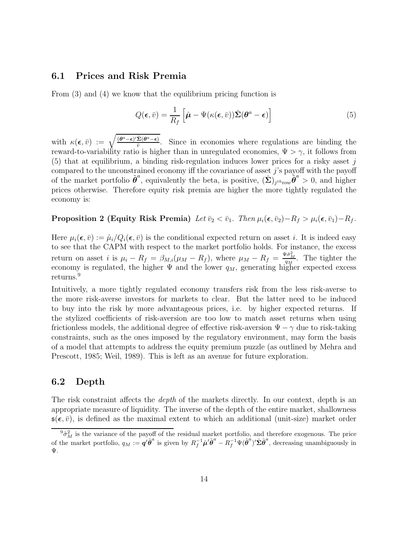#### 6.1 Prices and Risk Premia

From (3) and (4) we know that the equilibrium pricing function is

$$
Q(\boldsymbol{\epsilon},\bar{v}) = \frac{1}{R_f} \left[ \hat{\boldsymbol{\mu}} - \Psi(\kappa(\boldsymbol{\epsilon},\bar{v})) \hat{\boldsymbol{\Sigma}}(\boldsymbol{\theta}^a - \boldsymbol{\epsilon}) \right]
$$
(5)

with  $\kappa(\epsilon, \bar{v}) := \sqrt{\frac{(\theta^a - \epsilon')'\hat{\Sigma}(\theta^a - \epsilon)}{\bar{v}}}$  $\frac{\Sigma(\theta^2 - \epsilon)}{\bar{v}}$ . Since in economies where regulations are binding the reward-to-variability ratio is higher than in unregulated economies,  $\Psi > \gamma$ , it follows from  $(5)$  that at equilibrium, a binding risk-regulation induces lower prices for a risky asset j compared to the unconstrained economy iff the covariance of asset  $j$ 's payoff with the payoff of the market portfolio  $\tilde{\theta}^a$ , equivalently the beta, is positive,  $(\hat{\Sigma})_{j^{th} \text{row}} \tilde{\theta}^a > 0$ , and higher prices otherwise. Therefore equity risk premia are higher the more tightly regulated the economy is:

Proposition 2 (Equity Risk Premia) Let  $\bar{v}_2 < \bar{v}_1$ . Then  $\mu_i(\epsilon, \bar{v}_2) - R_f > \mu_i(\epsilon, \bar{v}_1) - R_f$ .

Here  $\mu_i(\epsilon, \bar{v}) := \hat{\mu}_i/Q_i(\epsilon, \bar{v})$  is the conditional expected return on asset i. It is indeed easy to see that the CAPM with respect to the market portfolio holds. For instance, the excess return on asset i is  $\mu_i - R_f = \beta_{M,i}(\mu_M - R_f)$ , where  $\mu_M - R_f = \frac{\Psi \hat{\sigma}_M^2}{q_M}$ . The tighter the economy is regulated, the higher  $\Psi$  and the lower  $q_M$ , generating higher expected excess returns.<sup>9</sup>

Intuitively, a more tightly regulated economy transfers risk from the less risk-averse to the more risk-averse investors for markets to clear. But the latter need to be induced to buy into the risk by more advantageous prices, i.e. by higher expected returns. If the stylized coefficients of risk-aversion are too low to match asset returns when using frictionless models, the additional degree of effective risk-aversion  $\Psi - \gamma$  due to risk-taking constraints, such as the ones imposed by the regulatory environment, may form the basis of a model that attempts to address the equity premium puzzle (as outlined by Mehra and Prescott, 1985; Weil, 1989). This is left as an avenue for future exploration.

#### 6.2 Depth

The risk constraint affects the *depth* of the markets directly. In our context, depth is an appropriate measure of liquidity. The inverse of the depth of the entire market, shallowness  $\mathfrak{s}(\epsilon, \bar{v})$ , is defined as the maximal extent to which an additional (unit-size) market order

 $9\hat{\sigma}_M^2$  is the variance of the payoff of the residual market portfolio, and therefore exogenous. The price of the market portfolio,  $q_M := \mathbf{q}' \tilde{\boldsymbol{\theta}}^a$  is given by  $R_f^{-1} \hat{\boldsymbol{\mu}}' \tilde{\boldsymbol{\theta}}^a - R_f^{-1} \Psi(\tilde{\boldsymbol{\theta}}^a)' \hat{\boldsymbol{\Sigma}} \tilde{\boldsymbol{\theta}}^a$ , decreasing unambiguously in Ψ.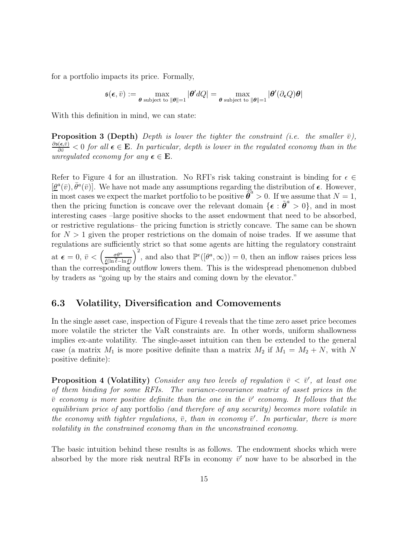for a portfolio impacts its price. Formally,

$$
\mathfrak{s}(\epsilon,\bar{v}) := \max_{\boldsymbol{\theta} \text{ subject to } \|\boldsymbol{\theta}\| = 1} |\boldsymbol{\theta}' dQ| = \max_{\boldsymbol{\theta} \text{ subject to } \|\boldsymbol{\theta}\| = 1} |\boldsymbol{\theta}'(\partial_{\epsilon} Q)\boldsymbol{\theta}|
$$

With this definition in mind, we can state:

**Proposition 3 (Depth)** Depth is lower the tighter the constraint (i.e. the smaller  $\bar{v}$ ),  $\frac{\partial s(\epsilon,\bar{v})}{\partial \bar{v}} < 0$  for all  $\epsilon \in \mathbf{E}$ . In particular, depth is lower in the regulated economy than in the unregulated economy for any  $\epsilon \in E$ .

Refer to Figure 4 for an illustration. No RFI's risk taking constraint is binding for  $\epsilon \in$  $[\underline{\theta}^a(\bar{v}), \bar{\theta}^a(\bar{v})]$ . We have not made any assumptions regarding the distribution of  $\epsilon$ . However, in most cases we expect the market portfolio to be positive  $\tilde{\theta}^a > 0$ . If we assume that  $N = 1$ , then the pricing function is concave over the relevant domain  $\{\boldsymbol{\epsilon} : \tilde{\boldsymbol{\theta}}^a > 0\}$ , and in most interesting cases –large positive shocks to the asset endowment that need to be absorbed, or restrictive regulations– the pricing function is strictly concave. The same can be shown for  $N > 1$  given the proper restrictions on the domain of noise trades. If we assume that regulations are sufficiently strict so that some agents are hitting the regulatory constraint at  $\epsilon = 0, \, \bar{v} < \left( \frac{\sigma \theta^a}{\ell \sin \theta} \right)$ ℓ(ln ℓ−ln ℓ)  $\int^{2}$ , and also that  $\mathbb{P}^{\epsilon}([\theta^{a}, \infty)) = 0$ , then an inflow raises prices less than the corresponding outflow lowers them. This is the widespread phenomenon dubbed by traders as "going up by the stairs and coming down by the elevator."

#### 6.3 Volatility, Diversification and Comovements

In the single asset case, inspection of Figure 4 reveals that the time zero asset price becomes more volatile the stricter the VaR constraints are. In other words, uniform shallowness implies ex-ante volatility. The single-asset intuition can then be extended to the general case (a matrix  $M_1$  is more positive definite than a matrix  $M_2$  if  $M_1 = M_2 + N$ , with N positive definite):

**Proposition 4 (Volatility)** Consider any two levels of regulation  $\bar{v} < \bar{v}'$ , at least one of them binding for some RFIs. The variance-covariance matrix of asset prices in the  $\bar{v}$  economy is more positive definite than the one in the  $\bar{v}'$  economy. It follows that the equilibrium price of any portfolio (and therefore of any security) becomes more volatile in the economy with tighter regulations,  $\bar{v}$ , than in economy  $\bar{v}'$ . In particular, there is more volatility in the constrained economy than in the unconstrained economy.

The basic intuition behind these results is as follows. The endowment shocks which were absorbed by the more risk neutral RFIs in economy  $\bar{v}'$  now have to be absorbed in the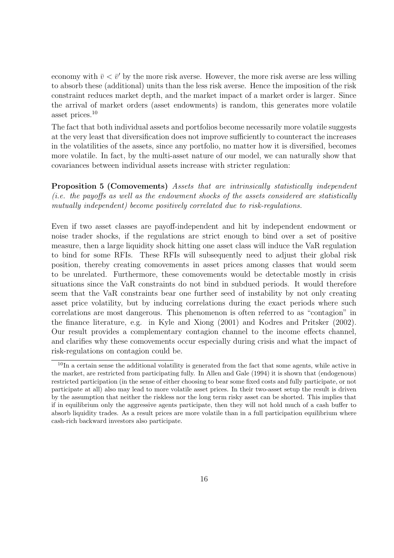economy with  $\bar{v} < \bar{v}'$  by the more risk averse. However, the more risk averse are less willing to absorb these (additional) units than the less risk averse. Hence the imposition of the risk constraint reduces market depth, and the market impact of a market order is larger. Since the arrival of market orders (asset endowments) is random, this generates more volatile asset prices.<sup>10</sup>

The fact that both individual assets and portfolios become necessarily more volatile suggests at the very least that diversification does not improve sufficiently to counteract the increases in the volatilities of the assets, since any portfolio, no matter how it is diversified, becomes more volatile. In fact, by the multi-asset nature of our model, we can naturally show that covariances between individual assets increase with stricter regulation:

Proposition 5 (Comovements) Assets that are intrinsically statistically independent (i.e. the payoffs as well as the endowment shocks of the assets considered are statistically mutually independent) become positively correlated due to risk-regulations.

Even if two asset classes are payoff-independent and hit by independent endowment or noise trader shocks, if the regulations are strict enough to bind over a set of positive measure, then a large liquidity shock hitting one asset class will induce the VaR regulation to bind for some RFIs. These RFIs will subsequently need to adjust their global risk position, thereby creating comovements in asset prices among classes that would seem to be unrelated. Furthermore, these comovements would be detectable mostly in crisis situations since the VaR constraints do not bind in subdued periods. It would therefore seem that the VaR constraints bear one further seed of instability by not only creating asset price volatility, but by inducing correlations during the exact periods where such correlations are most dangerous. This phenomenon is often referred to as "contagion" in the finance literature, e.g. in Kyle and Xiong (2001) and Kodres and Pritsker (2002). Our result provides a complementary contagion channel to the income effects channel, and clarifies why these comovements occur especially during crisis and what the impact of risk-regulations on contagion could be.

<sup>&</sup>lt;sup>10</sup>In a certain sense the additional volatility is generated from the fact that some agents, while active in the market, are restricted from participating fully. In Allen and Gale (1994) it is shown that (endogenous) restricted participation (in the sense of either choosing to bear some fixed costs and fully participate, or not participate at all) also may lead to more volatile asset prices. In their two-asset setup the result is driven by the assumption that neither the riskless nor the long term risky asset can be shorted. This implies that if in equilibrium only the aggressive agents participate, then they will not hold much of a cash buffer to absorb liquidity trades. As a result prices are more volatile than in a full participation equilibrium where cash-rich backward investors also participate.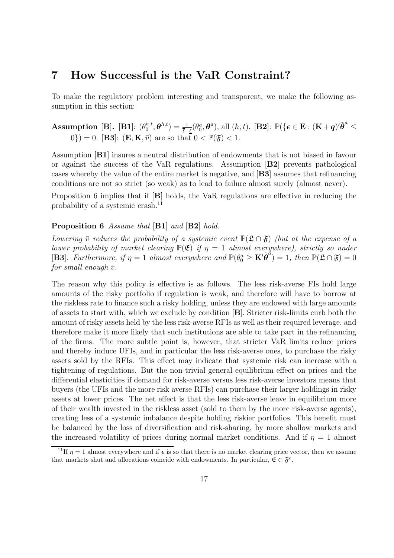### 7 How Successful is the VaR Constraint?

To make the regulatory problem interesting and transparent, we make the following assumption in this section:

 $\quad \ \ {\rm Assumption \ [B].} \ [B1] \!\!: \ (\theta_0^{h,t}$  $\hat{\theta}_0^{h,t}, \theta^{h,t}) = \frac{1}{\overline{\ell}-\underline{\ell}}(\theta_0^a, \theta^a)$ , all  $(h, t)$ . [B2]:  $\mathbb{P}(\{\boldsymbol{\epsilon} \in \mathbf{E} : (\mathbf{K} + \boldsymbol{q})' \tilde{\theta}^a\})$ ≤  $(0)$ ) = 0. [B3]: (**E**, **K**,  $\bar{v}$ ) are so that  $0 < \mathbb{P}(\mathfrak{F}) < 1$ .

Assumption [B1] insures a neutral distribution of endowments that is not biased in favour or against the success of the VaR regulations. Assumption [B2] prevents pathological cases whereby the value of the entire market is negative, and [B3] assumes that refinancing conditions are not so strict (so weak) as to lead to failure almost surely (almost never).

Proposition 6 implies that if [B] holds, the VaR regulations are effective in reducing the probability of a systemic crash.<sup>11</sup>

Proposition 6 Assume that [B1] and [B2] hold.

Lowering  $\bar{v}$  reduces the probability of a systemic event  $\mathbb{P}(\mathcal{L} \cap \mathfrak{F})$  (but at the expense of a lower probability of market clearing  $\mathbb{P}(\mathfrak{E})$  if  $\eta = 1$  almost everywhere), strictly so under [B3]. Furthermore, if  $\eta = 1$  almost everywhere and  $\mathbb{P}(\theta_0^a \geq \mathbf{K}'\tilde{\theta}^a) = 1$ , then  $\mathbb{P}(\tilde{\mathcal{L}} \cap \mathfrak{F}) = 0$ for small enough  $\bar{v}$ .

The reason why this policy is effective is as follows. The less risk-averse FIs hold large amounts of the risky portfolio if regulation is weak, and therefore will have to borrow at the riskless rate to finance such a risky holding, unless they are endowed with large amounts of assets to start with, which we exclude by condition  $[\mathbf{B}]$ . Stricter risk-limits curb both the amount of risky assets held by the less risk-averse RFIs as well as their required leverage, and therefore make it more likely that such institutions are able to take part in the refinancing of the firms. The more subtle point is, however, that stricter VaR limits reduce prices and thereby induce UFIs, and in particular the less risk-averse ones, to purchase the risky assets sold by the RFIs. This effect may indicate that systemic risk can increase with a tightening of regulations. But the non-trivial general equilibrium effect on prices and the differential elasticities if demand for risk-averse versus less risk-averse investors means that buyers (the UFIs and the more risk averse RFIs) can purchase their larger holdings in risky assets at lower prices. The net effect is that the less risk-averse leave in equilibrium more of their wealth invested in the riskless asset (sold to them by the more risk-averse agents), creating less of a systemic imbalance despite holding riskier portfolios. This benefit must be balanced by the loss of diversification and risk-sharing, by more shallow markets and the increased volatility of prices during normal market conditions. And if  $\eta = 1$  almost

<sup>&</sup>lt;sup>11</sup>If  $\eta = 1$  almost everywhere and if  $\epsilon$  is so that there is no market clearing price vector, then we assume that markets shut and allocations coincide with endowments. In particular,  $\mathfrak{E} \subset \mathfrak{F}^c$ .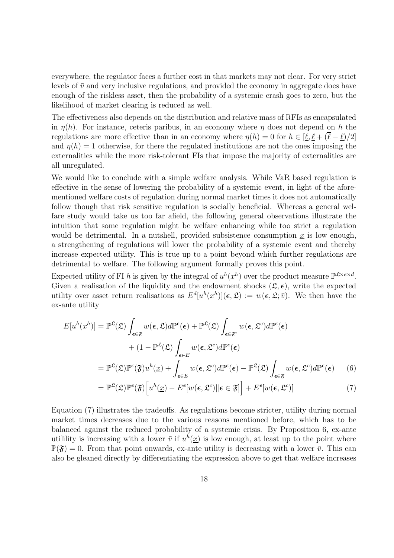everywhere, the regulator faces a further cost in that markets may not clear. For very strict levels of  $\bar{v}$  and very inclusive regulations, and provided the economy in aggregate does have enough of the riskless asset, then the probability of a systemic crash goes to zero, but the likelihood of market clearing is reduced as well.

The effectiveness also depends on the distribution and relative mass of RFIs as encapsulated in  $\eta(h)$ . For instance, ceteris paribus, in an economy where  $\eta$  does not depend on h the regulations are more effective than in an economy where  $\eta(h) = 0$  for  $h \in [\underline{\ell}, \underline{\ell} + (\overline{\ell} - \underline{\ell})/2]$ and  $\eta(h) = 1$  otherwise, for there the regulated institutions are not the ones imposing the externalities while the more risk-tolerant FIs that impose the majority of externalities are all unregulated.

We would like to conclude with a simple welfare analysis. While VaR based regulation is effective in the sense of lowering the probability of a systemic event, in light of the aforementioned welfare costs of regulation during normal market times it does not automatically follow though that risk sensitive regulation is socially beneficial. Whereas a general welfare study would take us too far afield, the following general observations illustrate the intuition that some regulation might be welfare enhancing while too strict a regulation would be detrimental. In a nutshell, provided subsistence consumption  $x$  is low enough, a strengthening of regulations will lower the probability of a systemic event and thereby increase expected utility. This is true up to a point beyond which further regulations are detrimental to welfare. The following argument formally proves this point.

Expected utility of FI h is given by the integral of  $u^h(x^h)$  over the product measure  $\mathbb{P}^{\mathfrak{L}\times\epsilon\times d}$ . Given a realisation of the liquidity and the endowment shocks  $(\mathfrak{L}, \epsilon)$ , write the expected utility over asset return realisations as  $E^d[u^h(x^h)](\epsilon, \mathfrak{L}) := w(\epsilon, \mathfrak{L}; \bar{v})$ . We then have the ex-ante utility

$$
E[u^{h}(x^{h})] = \mathbb{P}^{\mathfrak{L}}(\mathfrak{L}) \int_{\epsilon \in \mathfrak{F}} w(\epsilon, \mathfrak{L}) d\mathbb{P}^{\epsilon}(\epsilon) + \mathbb{P}^{\mathfrak{L}}(\mathfrak{L}) \int_{\epsilon \in \mathfrak{F}^{c}} w(\epsilon, \mathfrak{L}^{c}) d\mathbb{P}^{\epsilon}(\epsilon)
$$
  
+ 
$$
(1 - \mathbb{P}^{\mathfrak{L}}(\mathfrak{L}) \int_{\epsilon \in E} w(\epsilon, \mathfrak{L}^{c}) d\mathbb{P}^{\epsilon}(\epsilon)
$$

$$
= \mathbb{P}^{\mathfrak{L}}(\mathfrak{L}) \mathbb{P}^{\epsilon}(\mathfrak{F}) u^{h}(\underline{x}) + \int_{\epsilon \in E} w(\epsilon, \mathfrak{L}^{c}) d\mathbb{P}^{\epsilon}(\epsilon) - \mathbb{P}^{\mathfrak{L}}(\mathfrak{L}) \int_{\epsilon \in \mathfrak{F}} w(\epsilon, \mathfrak{L}^{c}) d\mathbb{P}^{\epsilon}(\epsilon) \qquad (6)
$$

$$
= \mathbb{P}^{\mathfrak{L}}(\mathfrak{L}) \mathbb{P}^{\epsilon}(\mathfrak{F}) \Big[ u^{h}(\underline{x}) - E^{\epsilon}[w(\epsilon, \mathfrak{L}^{c}) || \epsilon \in \mathfrak{F}] \Big] + E^{\epsilon}[w(\epsilon, \mathfrak{L}^{c})] \tag{7}
$$

Equation (7) illustrates the tradeoffs. As regulations become stricter, utility during normal market times decreases due to the various reasons mentioned before, which has to be balanced against the reduced probability of a systemic crisis. By Proposition 6, ex-ante utilility is increasing with a lower  $\bar{v}$  if  $u^h(\underline{x})$  is low enough, at least up to the point where  $\mathbb{P}(\mathfrak{F}) = 0$ . From that point onwards, ex-ante utility is decreasing with a lower  $\bar{v}$ . This can also be gleaned directly by differentiating the expression above to get that welfare increases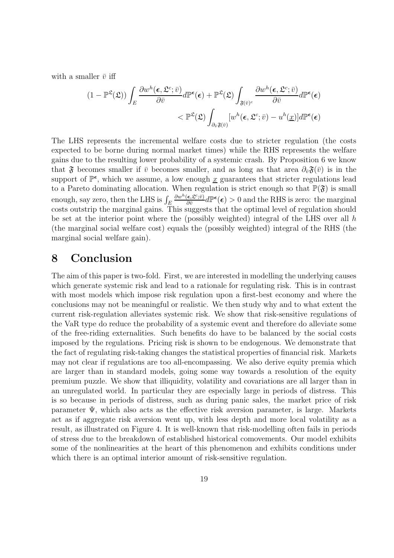with a smaller  $\bar{v}$  iff

$$
(1 - \mathbb{P}^{\mathfrak{L}}(\mathfrak{L})) \int_{E} \frac{\partial w^{h}(\boldsymbol{\epsilon}, \mathfrak{L}^{c}; \bar{v})}{\partial \bar{v}} d\mathbb{P}^{\boldsymbol{\epsilon}}(\boldsymbol{\epsilon}) + \mathbb{P}^{\mathfrak{L}}(\mathfrak{L}) \int_{\mathfrak{F}(\bar{v})^{c}} \frac{\partial w^{h}(\boldsymbol{\epsilon}, \mathfrak{L}^{c}; \bar{v})}{\partial \bar{v}} d\mathbb{P}^{\boldsymbol{\epsilon}}(\boldsymbol{\epsilon})
$$

$$
< \mathbb{P}^{\mathfrak{L}}(\mathfrak{L}) \int_{\partial_{\bar{v}} \mathfrak{F}(\bar{v})} [w^{h}(\boldsymbol{\epsilon}, \mathfrak{L}^{c}; \bar{v}) - u^{h}(\underline{x})] d\mathbb{P}^{\boldsymbol{\epsilon}}(\boldsymbol{\epsilon})
$$

The LHS represents the incremental welfare costs due to stricter regulation (the costs expected to be borne during normal market times) while the RHS represents the welfare gains due to the resulting lower probability of a systemic crash. By Proposition 6 we know that  $\mathfrak F$  becomes smaller if  $\bar v$  becomes smaller, and as long as that area  $\partial_{\bar v}\mathfrak F(\bar v)$  is in the support of  $\mathbb{P}^{\epsilon}$ , which we assume, a low enough <u>x</u> guarantees that stricter regulations lead to a Pareto dominating allocation. When regulation is strict enough so that  $\mathbb{P}(\mathfrak{F})$  is small enough, say zero, then the LHS is  $\int_E$  $\partial w^h(\boldsymbol{\epsilon},\mathfrak{L}^c;\bar{v})$  $\frac{(\epsilon, \mathfrak{L}^c; \bar{v})}{\partial \bar{v}}d\mathbb{P}^{\epsilon}(\epsilon) > 0$  and the RHS is zero: the marginal costs outstrip the marginal gains. This suggests that the optimal level of regulation should be set at the interior point where the (possibly weighted) integral of the LHS over all  $h$ (the marginal social welfare cost) equals the (possibly weighted) integral of the RHS (the marginal social welfare gain).

# 8 Conclusion

The aim of this paper is two-fold. First, we are interested in modelling the underlying causes which generate systemic risk and lead to a rationale for regulating risk. This is in contrast with most models which impose risk regulation upon a first-best economy and where the conclusions may not be meaningful or realistic. We then study why and to what extent the current risk-regulation alleviates systemic risk. We show that risk-sensitive regulations of the VaR type do reduce the probability of a systemic event and therefore do alleviate some of the free-riding externalities. Such benefits do have to be balanced by the social costs imposed by the regulations. Pricing risk is shown to be endogenous. We demonstrate that the fact of regulating risk-taking changes the statistical properties of financial risk. Markets may not clear if regulations are too all-encompassing. We also derive equity premia which are larger than in standard models, going some way towards a resolution of the equity premium puzzle. We show that illiquidity, volatility and covariations are all larger than in an unregulated world. In particular they are especially large in periods of distress. This is so because in periods of distress, such as during panic sales, the market price of risk parameter  $\Psi$ , which also acts as the effective risk aversion parameter, is large. Markets act as if aggregate risk aversion went up, with less depth and more local volatility as a result, as illustrated on Figure 4. It is well-known that risk-modelling often fails in periods of stress due to the breakdown of established historical comovements. Our model exhibits some of the nonlinearities at the heart of this phenomenon and exhibits conditions under which there is an optimal interior amount of risk-sensitive regulation.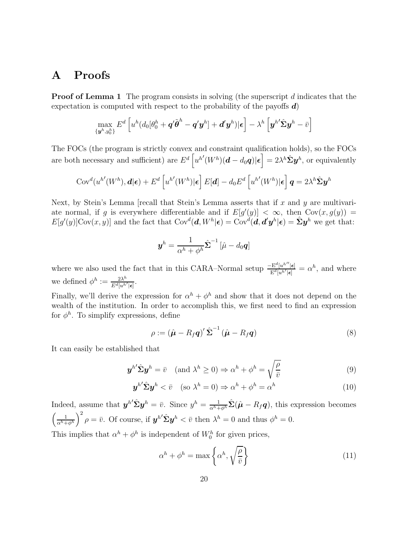# A Proofs

**Proof of Lemma 1** The program consists in solving (the superscript d indicates that the expectation is computed with respect to the probability of the payoffs  $\boldsymbol{d}$ )

$$
\max_{\{\bm{y}^h, y_0^h\}} E^d \left[ u^h (d_0[\theta_0^h + \bm{q'} \tilde{\bm{\theta}}^h - \bm{q'} \bm{y}^h] + \bm{d'} \bm{y}^h) | \bm{\epsilon} \right] - \lambda^h \left[ \bm{y}^{h'} \hat{\bm{\Sigma}} \bm{y}^h - \bar{v} \right]
$$

The FOCs (the program is strictly convex and constraint qualification holds), so the FOCs are both necessary and sufficient) are  $E^d\left[u^{h'}(W^h)(\bm{d}-d_0\bm{q})|\bm{\epsilon}\right]=2\lambda^h\hat{\bm{\Sigma}}\bm{y}^h$ , or equivalently

$$
Cov^{d}(u^{h'}(W^{h}), \mathbf{d}|\boldsymbol{\epsilon}) + E^{d}\left[u^{h'}(W^{h})|\boldsymbol{\epsilon}\right]E[\mathbf{d}] - d_{0}E^{d}\left[u^{h'}(W^{h})|\boldsymbol{\epsilon}\right]\mathbf{q} = 2\lambda^{h}\hat{\boldsymbol{\Sigma}}\mathbf{y}^{h}
$$

Next, by Stein's Lemma [recall that Stein's Lemma asserts that if  $x$  and  $y$  are multivariate normal, if g is everywhere differentiable and if  $E[g'(y)] < \infty$ , then  $Cov(x, g(y)) =$  $E[g'(y)]\text{Cov}(x, y)]$  and the fact that  $\text{Cov}^d(\boldsymbol{d}, W^h|\boldsymbol{\epsilon}) = \text{Cov}^d(\boldsymbol{d}, \boldsymbol{d}' \boldsymbol{y}^h|\boldsymbol{\epsilon}) = \hat{\boldsymbol{\Sigma}} \boldsymbol{y}^h$  we get that:

$$
\boldsymbol{y}^h = \frac{1}{\alpha^h + \phi^h} \hat{\boldsymbol{\Sigma}}^{-1} \left[ \hat{\mu} - d_0 \boldsymbol{q} \right]
$$

where we also used the fact that in this CARA–Normal setup  $-\frac{E^d[u^{h''}|\epsilon]}{E^d[u^{h'}|\epsilon]}$  $\frac{\mathbf{E}^{\mu}[u^{\mu}|\boldsymbol{\epsilon}]}{\mathbf{E}^{d}[u^{h'}|\boldsymbol{\epsilon}]} = \alpha^{h}$ , and where we defined  $\phi^h := \frac{2\lambda^h}{E^d[u^{h'}|\epsilon]}$ .

Finally, we'll derive the expression for  $\alpha^h + \phi^h$  and show that it does not depend on the wealth of the institution. In order to accomplish this, we first need to find an expression for  $\phi^h$ . To simplify expressions, define

$$
\rho := (\hat{\boldsymbol{\mu}} - R_f \boldsymbol{q})' \hat{\boldsymbol{\Sigma}}^{-1} (\hat{\boldsymbol{\mu}} - R_f \boldsymbol{q})
$$
\n(8)

It can easily be established that

$$
\mathbf{y}^{h'} \hat{\boldsymbol{\Sigma}} \mathbf{y}^h = \bar{v} \quad (\text{and } \lambda^h \ge 0) \Rightarrow \alpha^h + \phi^h = \sqrt{\frac{\rho}{\bar{v}}} \tag{9}
$$

$$
\mathbf{y}^{h'} \hat{\Sigma} \mathbf{y}^h < \bar{v} \quad \text{(so } \lambda^h = 0\text{)} \Rightarrow \alpha^h + \phi^h = \alpha^h \tag{10}
$$

Indeed, assume that  $y^{h'} \hat{\Sigma} y^h = \bar{v}$ . Since  $y^h = \frac{1}{\alpha^h + \phi^h} \hat{\Sigma} (\hat{\mu} - R_f \mathbf{q})$ , this expression becomes  $\left(\frac{1}{\alpha^h+\phi^h}\right)^2\rho=\bar{v}$ . Of course, if  $\mathbf{y}^{h'}\hat{\Sigma}\mathbf{y}^h<\bar{v}$  then  $\lambda^h=0$  and thus  $\phi^h=0$ .

This implies that  $\alpha^h + \phi^h$  is independent of  $W_0^h$  for given prices,

$$
\alpha^h + \phi^h = \max\left\{\alpha^h, \sqrt{\frac{\rho}{\bar{v}}}\right\} \tag{11}
$$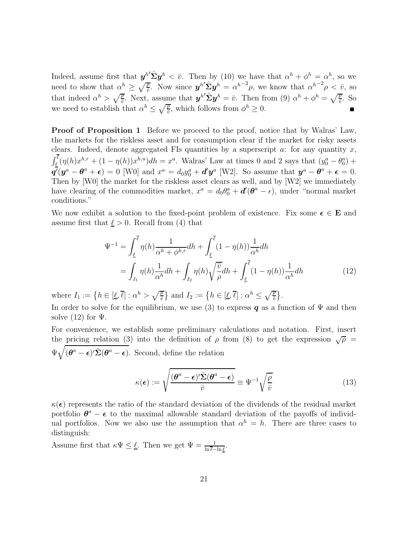Indeed, assume first that  $y^{h'} \hat{\Sigma} y^h < \bar{v}$ . Then by (10) we have that  $\alpha^h + \phi^h = \alpha^h$ , so we need to show that  $\alpha^h \geq \sqrt{\frac{\rho}{v}}$ . Now since  $y^h' \hat{\Sigma} y^h = {\alpha^h}^{-2} \rho$ , we know that  ${\alpha^h}^{-2} \rho < \bar{v}$ , so that indeed  $\alpha^h > \sqrt{\frac{\rho}{v}}$ . Next, assume that  $\mathbf{y}^{h'} \hat{\Sigma} \mathbf{y}^h = \bar{v}$ . Then from (9)  $\alpha^h + \phi^h = \sqrt{\frac{\rho}{v}}$ . So we need to establish that  $\alpha^h \leq \sqrt{\frac{\rho}{v}}$ , which follows from  $\phi^h \geq 0$ .

**Proof of Proposition 1** Before we proceed to the proof, notice that by Walras' Law, the markets for the riskless asset and for consumption clear if the market for risky assets clears. Indeed, denote aggregated FIs quantities by a superscript  $\alpha$ : for any quantity  $x$ ,  $\int_{\underline{\ell}}^{\ell} (\eta(h)x^{h,r} + (1 - \eta(h))x^{h,u}) dh = x^a$ . Walras' Law at times 0 and 2 says that  $(y_0^a - \theta_0^a)$  +  $\overline{\mathbf{q}'}(\mathbf{y}^a - \boldsymbol{\theta}^a + \boldsymbol{\epsilon}) = 0$  [W0] and  $x^a = d_0 y^a_0 + \mathbf{d}' \mathbf{y}^a$  [W2]. So assume that  $\mathbf{y}^a - \boldsymbol{\theta}^a + \boldsymbol{\epsilon} = 0$ . Then by [W0] the market for the riskless asset clears as well, and by [W2] we immediately have clearing of the commodities market,  $x^a = d_0\theta^a_0 + d'(\theta^a - \epsilon)$ , under "normal market conditions."

We now exhibit a solution to the fixed-point problem of existence. Fix some  $\epsilon \in E$  and assume first that  $\ell > 0$ . Recall from (4) that

$$
\Psi^{-1} = \int_{\underline{\ell}}^{\overline{\ell}} \eta(h) \frac{1}{\alpha^h + \phi^{h,r}} dh + \int_{\underline{\ell}}^{\overline{\ell}} (1 - \eta(h)) \frac{1}{\alpha^h} dh
$$

$$
= \int_{I_1} \eta(h) \frac{1}{\alpha^h} dh + \int_{I_2} \eta(h) \sqrt{\frac{\overline{v}}{\rho}} dh + \int_{\underline{\ell}}^{\overline{\ell}} (1 - \eta(h)) \frac{1}{\alpha^h} dh \tag{12}
$$

where  $I_1 := \left\{ h \in [\underline{\ell}, \overline{\ell}] : \alpha^h > \sqrt{\frac{\rho}{\bar{v}}} \right\}$  and  $I_2 := \left\{ h \in [\underline{\ell}, \overline{\ell}] : \alpha^h \leq \sqrt{\frac{\rho}{\bar{v}}} \right\}$ .

In order to solve for the equilibrium, we use (3) to express q as a function of  $\Psi$  and then solve  $(12)$  for  $\Psi$ .

For convenience, we establish some preliminary calculations and notation. First, insert the pricing relation (3) into the definition of  $\rho$  from (8) to get the expression  $\sqrt{\rho}$  =  $\Psi \sqrt{(\boldsymbol{\theta}^a - \boldsymbol{\epsilon})' \hat{\boldsymbol{\Sigma}} (\boldsymbol{\theta}^a - \boldsymbol{\epsilon})}$ . Second, define the relation

$$
\kappa(\epsilon) := \sqrt{\frac{(\theta^a - \epsilon)'\hat{\Sigma}(\theta^a - \epsilon)}{\bar{v}}} \equiv \Psi^{-1}\sqrt{\frac{\rho}{\bar{v}}}
$$
(13)

 $\kappa(\epsilon)$  represents the ratio of the standard deviation of the dividends of the residual market portfolio  $\theta^a - \epsilon$  to the maximal allowable standard deviation of the payoffs of individual portfolios. Now we also use the assumption that  $\alpha^h = h$ . There are three cases to distinguish:

Assume first that  $\kappa \Psi \leq \underline{\ell}$ . Then we get  $\Psi = \frac{1}{\ln \overline{\ell} - \ln \underline{\ell}}$ .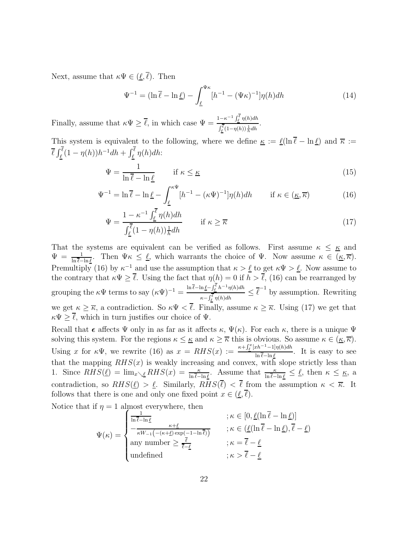Next, assume that  $\kappa \Psi \in (\ell, \overline{\ell})$ . Then

$$
\Psi^{-1} = (\ln \overline{\ell} - \ln \underline{\ell}) - \int_{\underline{\ell}}^{\Psi\kappa} [h^{-1} - (\Psi\kappa)^{-1}] \eta(h) dh \tag{14}
$$

Finally, assume that  $\kappa \Psi \geq \overline{\ell}$ , in which case  $\Psi = \frac{1-\kappa^{-1}\int_{\ell}^{\ell} \eta(h)dh}{\ell^{\overline{\ell}}(1-\eta(h))\frac{1}{2}dh}$  $\frac{\int_{\ell}^{\overline{\ell}}(1-\eta(h))\frac{1}{h}dh}{\int_{\ell}^{\overline{\ell}}(1-\eta(h))\frac{1}{h}dh}.$ 

This system is equivalent to the following, where we define  $\underline{\kappa} := \underline{\ell}(\ln \overline{\ell} - \ln \underline{\ell})$  and  $\overline{\kappa} :=$  $\overline{\ell} \int_{\underline{\ell}}^{\ell} (1 - \eta(h)) h^{-1} dh + \int_{\underline{\ell}}^{\ell} \eta(h) dh$ :

$$
\Psi = \frac{1}{\ln \overline{\ell} - \ln \underline{\ell}} \qquad \text{if } \kappa \le \underline{\kappa} \tag{15}
$$

$$
\Psi^{-1} = \ln \overline{\ell} - \ln \underline{\ell} - \int_{\underline{\ell}}^{\kappa \Psi} [h^{-1} - (\kappa \Psi)^{-1}] \eta(h) dh \qquad \text{if } \kappa \in (\underline{\kappa}, \overline{\kappa}) \tag{16}
$$

$$
\Psi = \frac{1 - \kappa^{-1} \int_{\underline{\ell}}^{\overline{\ell}} \eta(h) dh}{\int_{\underline{\ell}}^{\overline{\ell}} (1 - \eta(h)) \frac{1}{h} dh} \qquad \text{if } \kappa \ge \overline{\kappa}
$$
\n(17)

That the systems are equivalent can be verified as follows. First assume  $\kappa \leq \kappa$  and  $\Psi = \frac{1}{\ln \ell - \ln \ell}$ . Then  $\Psi \kappa \leq \ell$ , which warrants the choice of  $\Psi$ . Now assume  $\kappa \in (\underline{\kappa}, \overline{\kappa})$ . Premultiply (16) by  $\kappa^{-1}$  and use the assumption that  $\kappa > \underline{\ell}$  to get  $\kappa \Psi > \underline{\ell}$ . Now assume to the contrary that  $\kappa \Psi \geq \ell$ . Using the fact that  $\eta(\bar{h}) = 0$  if  $h > \ell$ , (16) can be rearranged by grouping the  $\kappa \Psi$  terms to say  $(\kappa \Psi)^{-1} = \frac{\ln \bar{\ell} - \ln \ell - \int_{\ell}^{\ell} h^{-1} \eta(h) dh}{\sigma^{\ell}}$  $\frac{\ln \ell - \int_{\ell}^{\ell} h^{-1} \eta(h) dh}{\kappa - \int_{\ell}^{\ell} \eta(h) dh} \leq \overline{\ell}^{-1}$  by assumption. Rewriting we get  $\kappa \geq \overline{\kappa}$ , a contradiction. So  $\kappa \Psi < \overline{\ell}$ . Finally, assume  $\kappa \geq \overline{\kappa}$ . Using (17) we get that  $\kappa \Psi > \bar{\ell}$ , which in turn justifies our choice of  $\Psi$ .

Recall that  $\epsilon$  affects  $\Psi$  only in as far as it affects  $\kappa$ ,  $\Psi(\kappa)$ . For each  $\kappa$ , there is a unique  $\Psi$ solving this system. For the regions  $\kappa \leq \underline{\kappa}$  and  $\kappa \geq \overline{\kappa}$  this is obvious. So assume  $\kappa \in (\underline{\kappa}, \overline{\kappa})$ . Using x for  $\kappa \Psi$ , we rewrite (16) as  $x = RHS(x) := \frac{\kappa + \int_{\underline{\ell}}^x [xh^{-1} - 1] \eta(h) dh}{\ln \overline{\ell} + \ln \ell}$  $\frac{\ln \overline{\ell}}{\ln \overline{\ell} - \ln \underline{\ell}}$ . It is easy to see that the mapping  $RHS(x)$  is weakly increasing and convex, with slope strictly less than 1. Since  $RHS(\underline{\ell}) = \lim_{x \searrow \underline{\ell}} RHS(x) = \frac{\kappa}{\ln \overline{\ell} - \ln \underline{\ell}}$ . Assume that  $\frac{\kappa}{\ln \overline{\ell} - \ln \underline{\ell}} \leq \underline{\ell}$ , then  $\kappa \leq \underline{\kappa}$ , a contradiction, so  $RHS(\underline{\ell}) > \underline{\ell}$ . Similarly,  $RHS(\overline{\ell}) < \overline{\ell}$  from the assumption  $\kappa < \overline{\kappa}$ . It follows that there is one and only one fixed point  $x \in (\underline{\ell}, \overline{\ell})$ .

Notice that if  $\eta = 1$  almost everywhere, then

$$
\Psi(\kappa) = \begin{cases}\n\frac{1}{\ln \overline{\ell} - \ln \underline{\ell}} & ; \kappa \in [0, \underline{\ell}(\ln \overline{\ell} - \ln \underline{\ell})] \\
-\frac{\kappa + \underline{\ell}}{\kappa W_{-1}(-\kappa + \underline{\ell}) \exp(-1 - \ln \overline{\ell})} & ; \kappa \in (\underline{\ell}(\ln \overline{\ell} - \ln \underline{\ell}), \overline{\ell} - \underline{\ell}) \\
\text{any number} \ge \frac{\overline{\ell}}{\overline{\ell} - \underline{\ell}} & ; \kappa = \overline{\ell} - \underline{\ell} \\
\text{undefined} & ; \kappa > \overline{\ell} - \underline{\ell}\n\end{cases}
$$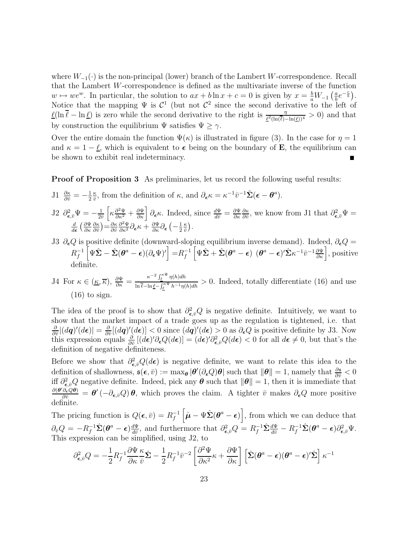where  $W_{-1}(\cdot)$  is the non-principal (lower) branch of the Lambert W-correspondence. Recall that the Lambert W-correspondence is defined as the multivariate inverse of the function  $w \mapsto we^w$ . In particular, the solution to  $ax + b \ln x + c = 0$  is given by  $x = \frac{b}{a} W_{-1} \left( \frac{a}{b} \right)$  $\frac{a}{b}e^{-\frac{c}{b}}$ . Notice that the mapping  $\Psi$  is  $\mathcal{C}^1$  (but not  $\mathcal{C}^2$  since the second derivative to the left of  $\underline{\ell}(\ln \overline{\ell} - \ln \underline{\ell})$  is zero while the second derivative to the right is  $\frac{\eta}{\underline{\ell}^2(\ln(\overline{\ell}) - \ln(\underline{\ell}))^4} > 0$  and that by construction the equilibrium  $\Psi$  satisfies  $\Psi \geq \gamma$ .

Over the entire domain the function  $\Psi(\kappa)$  is illustrated in figure (3). In the case for  $\eta = 1$ and  $\kappa = 1 - \underline{\ell}$ , which is equivalent to  $\epsilon$  being on the boundary of **E**, the equilibrium can be shown to exhibit real indeterminacy.

Proof of Proposition 3 As preliminaries, let us record the following useful results:

- $J1 \frac{\partial \kappa}{\partial \bar{v}} = -\frac{1}{2}$ 2 κ  $\frac{\kappa}{\bar{v}}$ , from the definition of  $\kappa$ , and  $\partial_{\boldsymbol{\epsilon}}\kappa = \kappa^{-1}\bar{v}^{-1}\hat{\boldsymbol{\Sigma}}(\boldsymbol{\epsilon} - \boldsymbol{\theta}^a)$ .
- J2  $\partial_{\epsilon,\bar{v}}^2 \Psi = -\frac{1}{2i}$  $\frac{1}{2\bar{v}}\left[\kappa\frac{\partial^2\Psi}{\partial\kappa^2}+\frac{\partial\Psi}{\partial\kappa}\right]\partial_{\boldsymbol{\epsilon}}\kappa.$  Indeed, since  $\frac{d\Psi}{d\bar{v}}=\frac{\partial\Psi}{\partial\kappa}$ ∂κ ∂κ  $\frac{\partial \kappa}{\partial \bar{v}},$  we know from J1 that  $\partial_{\epsilon,\bar{v}}^2 \Psi =$ d  $\frac{d}{d\boldsymbol{\epsilon}}\left(\frac{\partial \Psi}{\partial \kappa}\right)$ ∂κ ∂κ  $\frac{\partial \kappa}{\partial \bar{v}}$   $\bigg) = \frac{\partial \kappa}{\partial \bar{v}}$  $\partial \bar v$  $\frac{\partial^2 \Psi}{\partial \kappa^2} \partial_{\boldsymbol{\epsilon}} \kappa + \frac{\partial \Psi}{\partial \kappa} \partial_{\boldsymbol{\epsilon}} \left( -\frac{1}{2} \right)$ 2 κ  $\frac{\kappa}{\bar{v}}\Big)$ .
- J3  $\partial_{\epsilon}Q$  is positive definite (downward-sloping equilibrium inverse demand). Indeed,  $\partial_{\epsilon}Q =$  $R_f^{-1}$  $\int_f^{-1} \left[ \Psi \hat{\mathbf{\Sigma}} - \hat{\mathbf{\Sigma}} (\boldsymbol{\theta}^a - \boldsymbol{\epsilon}) (\partial_\boldsymbol{\epsilon} \Psi)' \right] = \! R_f^{-1}$  $\int_f^{-1}\bigg[\Psi\hat{\boldsymbol{\Sigma}} + \hat{\boldsymbol{\Sigma}}(\boldsymbol{\theta}^a - \boldsymbol{\epsilon}) \; (\boldsymbol{\theta}^a - \boldsymbol{\epsilon})' \hat{\boldsymbol{\Sigma}} \kappa^{-1}\bar{v}^{-1}\frac{\partial\Psi}{\partial\kappa}\bigg],$  positive definite.

J4 For  $\kappa \in (\underline{\kappa}, \overline{\kappa})$ ,  $\frac{\partial \Psi}{\partial \kappa} = \frac{\kappa^{-2} \int_{\underline{\ell}}^{\kappa \Psi} \eta(h) dh}{\ln \overline{\ell} - \ln \ell - \int_{\ell}^{\kappa \Psi} h^{-1} \eta(h)}$  $\frac{\ln \overline{\ell}}{\ln \overline{\ell}-\ln \underline{\ell}-\int_{\ell}^{\kappa} \Psi} h^{-1}\eta(h)dh > 0$ . Indeed, totally differentiate (16) and use  $(16)$  to sign.

The idea of the proof is to show that  $\partial_{\epsilon,\bar{v}}^2 Q$  is negative definite. Intuitively, we want to show that the market impact of a trade goes up as the regulation is tightened, i.e. that ∂  $\frac{\partial}{\partial \bar{v}} |(d\bm{q})'(d\bm{\epsilon})| = \frac{\partial}{\partial \dot{v}}$  $\frac{\partial}{\partial \bar{v}}[(d\bm{q})'(d\bm{\epsilon})] < 0$  since  $(d\bm{q})'(d\bm{\epsilon}) > 0$  as  $\partial_{\bm{\epsilon}}Q$  is positive definite by J3. Now this expression equals  $\frac{\partial}{\partial \bar{v}}[(d\boldsymbol{\epsilon})'\partial_{\boldsymbol{\epsilon}}Q(d\boldsymbol{\epsilon})] = (d\boldsymbol{\epsilon})'\partial^2_{\boldsymbol{\epsilon},\bar{v}}Q(d\boldsymbol{\epsilon}) < 0$  for all  $d\boldsymbol{\epsilon} \neq 0$ , but that's the definition of negative definiteness.

Before we show that  $\partial_{\epsilon,\bar{v}}^2 Q(d\epsilon)$  is negative definite, we want to relate this idea to the definition of shallowness,  $\mathfrak{s}(\epsilon, \bar{v}) := \max_{\theta} |\theta'(\partial_{\epsilon} Q)\theta|$  such that  $\|\theta\| = 1$ , namely that  $\frac{\partial \mathfrak{s}}{\partial \bar{v}} < 0$ iff  $\partial_{\epsilon,\bar{v}}^2 Q$  negative definite. Indeed, pick any  $\theta$  such that  $\|\theta\|=1$ , then it is immediate that  $\frac{\partial(\theta'\partial_{\epsilon}Q\theta)}{\partial \bar{v}} = \theta'(-\partial_{\epsilon,\bar{v}}Q)\theta$ , which proves the claim. A tighter  $\bar{v}$  makes  $\partial_{\epsilon}Q$  more positive definite.

The pricing function is  $Q(\epsilon, \bar{v}) = R_f^{-1}$  $\int_{f}^{-1} \left[ \hat{\boldsymbol{\mu}} - \Psi \hat{\boldsymbol{\Sigma}} (\boldsymbol{\theta}^a - \boldsymbol{\epsilon}) \right]$ , from which we can deduce that  $\partial_{\bar{v}} Q \, = \, - R_f^{-1} \hat{\mathbf{\Sigma}} (\boldsymbol{\theta}^a - \boldsymbol{\epsilon}) \frac{d \Psi}{d \bar{v}}$  $\frac{d\Psi}{d\bar{v}}$ , and furthermore that  $\partial_{\epsilon,\bar{v}}^2 Q = R_f^{-1} \hat{\Sigma} \frac{d\Psi}{d\bar{v}} - R_f^{-1} \hat{\Sigma} (\theta^a - \epsilon) \partial_{\epsilon,\bar{v}}^2 \Psi$ . This expression can be simplified, using J2, to

$$
\partial_{\epsilon,\bar{v}}^2 Q = -\frac{1}{2} R_f^{-1} \frac{\partial \Psi}{\partial \kappa} \frac{\kappa}{\bar{v}} \hat{\Sigma} - \frac{1}{2} R_f^{-1} \bar{v}^{-2} \left[ \frac{\partial^2 \Psi}{\partial \kappa^2} \kappa + \frac{\partial \Psi}{\partial \kappa} \right] \left[ \hat{\Sigma} (\boldsymbol{\theta}^a - \boldsymbol{\epsilon}) (\boldsymbol{\theta}^a - \boldsymbol{\epsilon})' \hat{\Sigma} \right] \kappa^{-1}
$$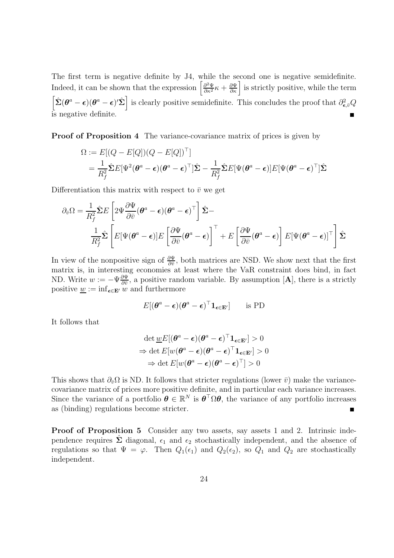The first term is negative definite by J4, while the second one is negative semidefinite. Indeed, it can be shown that the expression  $\left[\frac{\partial^2 \Psi}{\partial \kappa^2} \kappa + \frac{\partial \Psi}{\partial \kappa}\right]$  is strictly positive, while the term  $\left[\hat{\Sigma}(\theta^a-\epsilon)(\theta^a-\epsilon)'\hat{\Sigma}\right]$  is clearly positive semidefinite. This concludes the proof that  $\partial_{\epsilon,\bar{v}}^2 Q$ is negative definite.

**Proof of Proposition 4** The variance-covariance matrix of prices is given by

$$
\Omega := E[(Q - E[Q])(Q - E[Q])^{\top}] \n= \frac{1}{R_f^2} \hat{\Sigma} E[\Psi^2(\boldsymbol{\theta}^a - \boldsymbol{\epsilon})(\boldsymbol{\theta}^a - \boldsymbol{\epsilon})^{\top}] \hat{\Sigma} - \frac{1}{R_f^2} \hat{\Sigma} E[\Psi(\boldsymbol{\theta}^a - \boldsymbol{\epsilon})] E[\Psi(\boldsymbol{\theta}^a - \boldsymbol{\epsilon})^{\top}] \hat{\Sigma}
$$

Differentiation this matrix with respect to  $\bar{v}$  we get

$$
\partial_{\bar{v}}\Omega = \frac{1}{R_f^2} \hat{\Sigma} E \left[ 2\Psi \frac{\partial \Psi}{\partial \bar{v}} (\boldsymbol{\theta}^a - \boldsymbol{\epsilon}) (\boldsymbol{\theta}^a - \boldsymbol{\epsilon})^\top \right] \hat{\Sigma} -
$$
  

$$
\frac{1}{R_f^2} \hat{\Sigma} \left[ E[\Psi(\boldsymbol{\theta}^a - \boldsymbol{\epsilon})] E \left[ \frac{\partial \Psi}{\partial \bar{v}} (\boldsymbol{\theta}^a - \boldsymbol{\epsilon}) \right]^\top + E \left[ \frac{\partial \Psi}{\partial \bar{v}} (\boldsymbol{\theta}^a - \boldsymbol{\epsilon}) \right] E[\Psi(\boldsymbol{\theta}^a - \boldsymbol{\epsilon})]^\top \right] \hat{\Sigma}
$$

In view of the nonpositive sign of  $\frac{\partial \Psi}{\partial \bar{v}}$ , both matrices are NSD. We show next that the first matrix is, in interesting economies at least where the VaR constraint does bind, in fact ND. Write  $w := -\Psi \frac{\partial \Psi}{\partial \bar{v}}$  $\frac{\partial \Psi}{\partial \bar{v}}$ , a positive random variable. By assumption [**A**], there is a strictly positive  $\underline{w} := \inf_{\epsilon \in \mathbf{E}'} w$  and furthermore

$$
E[(\boldsymbol{\theta}^a - \boldsymbol{\epsilon})(\boldsymbol{\theta}^a - \boldsymbol{\epsilon})^{\top} \mathbf{1}_{\boldsymbol{\epsilon} \in \mathbf{E}'}] \quad \text{is PD}
$$

It follows that

$$
\det \underline{w}E[(\boldsymbol{\theta}^{a} - \boldsymbol{\epsilon})(\boldsymbol{\theta}^{a} - \boldsymbol{\epsilon})^{\top} \mathbf{1}_{\boldsymbol{\epsilon} \in \mathbf{E}'}] > 0
$$

$$
\Rightarrow \det E[w(\boldsymbol{\theta}^{a} - \boldsymbol{\epsilon})(\boldsymbol{\theta}^{a} - \boldsymbol{\epsilon})^{\top} \mathbf{1}_{\boldsymbol{\epsilon} \in \mathbf{E}'}] > 0
$$

$$
\Rightarrow \det E[w(\boldsymbol{\theta}^{a} - \boldsymbol{\epsilon})(\boldsymbol{\theta}^{a} - \boldsymbol{\epsilon})^{\top}] > 0
$$

This shows that  $\partial_{\bar{v}}\Omega$  is ND. It follows that stricter regulations (lower  $\bar{v}$ ) make the variancecovariance matrix of prices more positive definite, and in particular each variance increases. Since the variance of a portfolio  $\boldsymbol{\theta} \in \mathbb{R}^N$  is  $\boldsymbol{\theta}^\top \Omega \boldsymbol{\theta}$ , the variance of any portfolio increases as (binding) regulations become stricter. Ē

Proof of Proposition 5 Consider any two assets, say assets 1 and 2. Intrinsic independence requires  $\Sigma$  diagonal,  $\epsilon_1$  and  $\epsilon_2$  stochastically independent, and the absence of regulations so that  $\Psi = \varphi$ . Then  $Q_1(\epsilon_1)$  and  $Q_2(\epsilon_2)$ , so  $Q_1$  and  $Q_2$  are stochastically independent.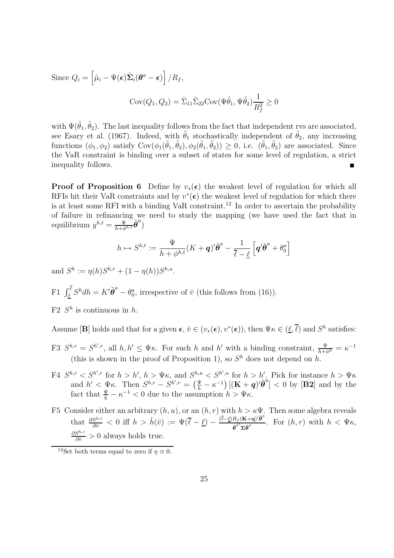Since  $Q_i = \left[ \hat{\mu}_i - \Psi(\boldsymbol{\epsilon}) \hat{\boldsymbol{\Sigma}}_i(\boldsymbol{\theta}^a - \boldsymbol{\epsilon}) \right] / R_f$ ,  $\text{Cov}(Q_1, Q_2) = \hat{\Sigma}_{11} \hat{\Sigma}_{22} \text{Cov}(\Psi \tilde{\theta}_1, \Psi \tilde{\theta}_2) \frac{1}{R^2}$  $\frac{1}{R_f^2} \geq 0$ 

with  $\Psi(\tilde{\theta}_1, \tilde{\theta}_2)$ . The last inequality follows from the fact that independent rvs are associated, see Esary et al. (1967). Indeed, with  $\tilde{\theta}_1$  stochastically independent of  $\tilde{\theta}_2$ , any increasing functions  $(\phi_1, \phi_2)$  satisfy  $Cov(\phi_1(\tilde{\theta}_1, \tilde{\theta}_2), \phi_2(\tilde{\theta}_1, \tilde{\theta}_2)) \geq 0$ , i.e.  $(\tilde{\theta}_1, \tilde{\theta}_2)$  are associated. Since the VaR constraint is binding over a subset of states for some level of regulation, a strict inequality follows.

**Proof of Proposition 6** Define by  $v_*(\epsilon)$  the weakest level of regulation for which all RFIs hit their VaR constraints and by  $v^*(\epsilon)$  the weakest level of regulation for which there is at least some RFI with a binding VaR constraint.<sup>12</sup> In order to ascertain the probability of failure in refinancing we need to study the mapping (we have used the fact that in equilibrium  $y^{h,t} = \frac{\Psi}{h + \phi^{h,t}} \tilde{\boldsymbol{\theta}}^a$ 

$$
h \mapsto S^{h,t} := \frac{\Psi}{h + \phi^{h,t}} (K + \boldsymbol{q})' \tilde{\boldsymbol{\theta}}^a - \frac{1}{\ell - \underline{\ell}} \left[ \boldsymbol{q}' \tilde{\boldsymbol{\theta}}^a + \theta_0^a \right]
$$

and  $S^h := \eta(h)S^{h,r} + (1 - \eta(h))S^{h,u}.$ 

F1  $\int_{\underline{\ell}}^{\overline{\ell}} S^h dh = K' \tilde{\theta}^a - \theta_0^a$ , irrespective of  $\overline{v}$  (this follows from (16)).

F2  $S<sup>h</sup>$  is continuous in h.

Assume [B] holds and that for a given  $\epsilon, \bar{v} \in (v_*(\epsilon), v^*(\epsilon))$ , then  $\Psi \kappa \in (\underline{\ell}, \overline{\ell})$  and  $S^h$  satisfies:

- F3  $S^{h,r} = S^{h',r}$ , all  $h, h' \leq \Psi \kappa$ . For such h and h' with a binding constraint,  $\frac{\Psi}{h+\phi^h} = \kappa^{-1}$ (this is shown in the proof of Proposition 1), so  $S<sup>h</sup>$  does not depend on h.
- F4  $S^{h,r} < S^{h',r}$  for  $h > h', h > \Psi_{\kappa}$ , and  $S^{h,u} < S^{h',u}$  for  $h > h'$ . Pick for instance  $h > \Psi_{\kappa}$ and  $h' < \Psi \kappa$ . Then  $S^{h,r} - S^{h',r} = \left(\frac{\Psi}{h} - \kappa^{-1}\right) \left[ (\mathbf{K} + \boldsymbol{q})' \tilde{\boldsymbol{\theta}}^a \right] < 0$  by [B2] and by the fact that  $\frac{\Psi}{h} - \kappa^{-1} < 0$  due to the assumption  $h > \Psi \kappa$ .
- F5 Consider either an arbitrary  $(h, u)$ , or an  $(h, r)$  with  $h > \kappa \Psi$ . Then some algebra reveals that  $\frac{\partial S^{h,t}}{\partial \bar{v}} < 0$  iff  $h > \tilde{h}(\bar{v}) := \Psi(\bar{\ell} - \underline{\ell}) - \frac{(\bar{\ell} - \underline{\ell})R_f(\mathbf{K} + \mathbf{q})'\tilde{\boldsymbol{\theta}}^a}{\tilde{\boldsymbol{\theta}}^a'\Sigma \tilde{\boldsymbol{\theta}}^a}$  $\frac{h_f(\mathbf{R}+\mathbf{q})\boldsymbol{\theta}}{\tilde{\theta}^{a'}\Sigma\tilde{\theta}^{a}}$ . For  $(h,r)$  with  $h < \Psi \kappa$ ,  $\frac{\partial S^{h,r}}{\partial \bar{v}} > 0$  always holds true.

<sup>&</sup>lt;sup>12</sup>Set both terms equal to zero if  $\eta \equiv 0$ .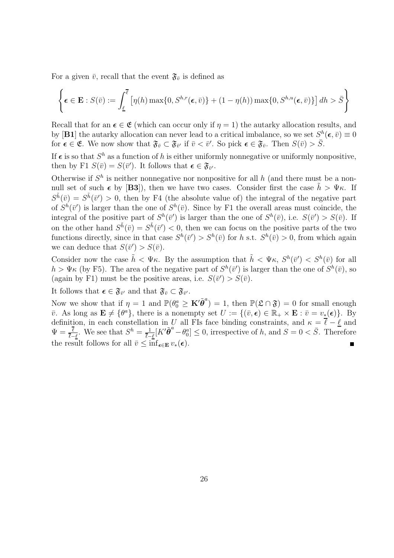For a given  $\bar{v}$ , recall that the event  $\mathfrak{F}_{\bar{v}}$  is defined as

$$
\left\{\boldsymbol{\epsilon}\in\mathbf{E}:S(\bar{v}):=\int_{\underline{\ell}}^{\overline{\ell}}\left[\eta(h)\max\{0,S^{h,r}(\boldsymbol{\epsilon},\bar{v})\}+(1-\eta(h))\max\{0,S^{h,u}(\boldsymbol{\epsilon},\bar{v})\}\right]dh>\bar{S}\right\}
$$

Recall that for an  $\epsilon \in \mathfrak{E}$  (which can occur only if  $\eta = 1$ ) the autarky allocation results, and by [**B1**] the autarky allocation can never lead to a critical imbalance, so we set  $S^h(\epsilon, \bar{v}) \equiv 0$ for  $\boldsymbol{\epsilon} \in \mathfrak{E}$ . We now show that  $\mathfrak{F}_{\bar{v}} \subset \mathfrak{F}_{\bar{v}'}$  if  $\bar{v} < \bar{v}'$ . So pick  $\boldsymbol{\epsilon} \in \mathfrak{F}_{\bar{v}}$ . Then  $S(\bar{v}) > \bar{S}$ .

If  $\epsilon$  is so that  $S^h$  as a function of h is either uniformly nonnegative or uniformly nonpositive, then by F1  $S(\bar{v}) = S(\bar{v}')$ . It follows that  $\epsilon \in \mathfrak{F}_{\bar{v}'}$ .

Otherwise if  $S<sup>h</sup>$  is neither nonnegative nor nonpositive for all h (and there must be a nonnull set of such  $\epsilon$  by [B3]), then we have two cases. Consider first the case  $\tilde{h} > \Psi \kappa$ . If  $S^{\tilde{h}}(\bar{v}) = S^{\tilde{h}}(\bar{v}') > 0$ , then by F4 (the absolute value of) the integral of the negative part of  $S^h(\bar{v}')$  is larger than the one of  $S^h(\bar{v})$ . Since by F1 the overall areas must coincide, the integral of the positive part of  $S^h(\bar{v}')$  is larger than the one of  $S^h(\bar{v})$ , i.e.  $S(\bar{v}') > S(\bar{v})$ . If on the other hand  $S^{\tilde{h}}(\bar{v}) = S^{\tilde{h}}(\bar{v}') < 0$ , then we can focus on the positive parts of the two functions directly, since in that case  $S^h(\bar{v}) > S^h(\bar{v})$  for h s.t.  $S^h(\bar{v}) > 0$ , from which again we can deduce that  $S(\bar{v}') > S(\bar{v})$ .

Consider now the case  $\tilde{h} < \Psi \kappa$ . By the assumption that  $\tilde{h} < \Psi \kappa$ ,  $S^h(\bar{v}') < S^h(\bar{v})$  for all  $h > \Psi \kappa$  (by F5). The area of the negative part of  $S^h(\bar{v}')$  is larger than the one of  $S^h(\bar{v})$ , so (again by F1) must be the positive areas, i.e.  $S(\bar{v}') > S(\bar{v})$ .

It follows that  $\boldsymbol{\epsilon} \in \mathfrak{F}_{\bar{v}'}$  and that  $\mathfrak{F}_{\bar{v}} \subset \mathfrak{F}_{\bar{v}'}$ .

Now we show that if  $\eta = 1$  and  $\mathbb{P}(\theta_0^a \geq \mathbf{K}'\tilde{\theta}^a) = 1$ , then  $\mathbb{P}(\mathfrak{L} \cap \mathfrak{F}) = 0$  for small enough  $\bar{v}$ . As long as  $\mathbf{E} \neq {\theta}^a$ , there is a nonempty set  $U := \{(\bar{v}, \epsilon) \in \mathbb{R}_+ \times \mathbf{E} : \bar{v} = v_*(\epsilon)\}\.$  By definition, in each constellation in U all FIs face binding constraints, and  $\kappa = \ell - \ell$  and  $\Psi = \frac{\ell}{\ell - \ell}$ . We see that  $S^h = \frac{1}{\ell - \ell}$  $\frac{1}{\ell-\ell}[K'\tilde{\boldsymbol{\theta}}^a-\theta_0^a] \leq 0$ , irrespective of h, and  $S=0<\bar{S}$ . Therefore the result follows for all  $\bar{v} \leq \inf_{\epsilon \in \mathbf{E}} v_*(\epsilon)$ .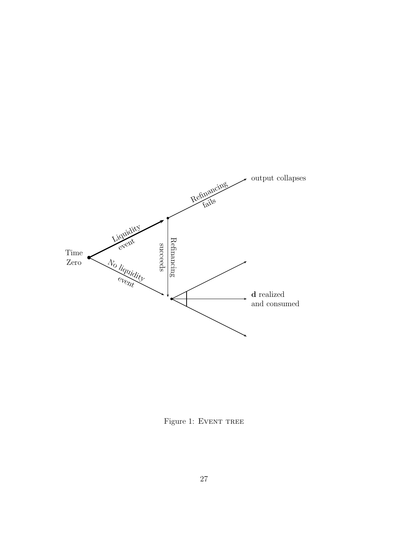

Figure 1: EVENT TREE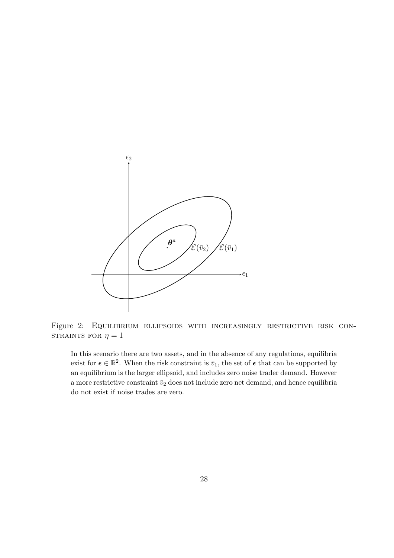

Figure 2: Equilibrium ellipsoids with increasingly restrictive risk con-STRAINTS FOR  $\eta = 1$ 

In this scenario there are two assets, and in the absence of any regulations, equilibria exist for  $\epsilon \in \mathbb{R}^2$ . When the risk constraint is  $\bar{v}_1$ , the set of  $\epsilon$  that can be supported by an equilibrium is the larger ellipsoid, and includes zero noise trader demand. However a more restrictive constraint  $\bar{v}_2$  does not include zero net demand, and hence equilibria do not exist if noise trades are zero.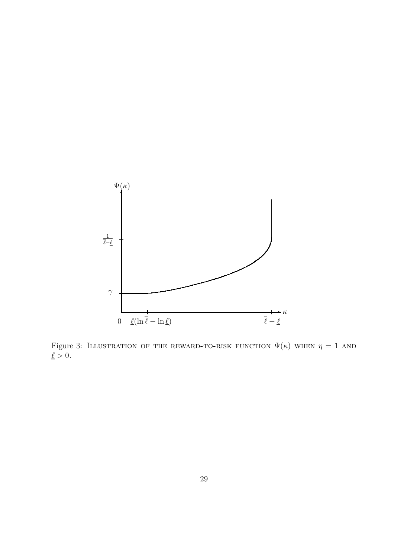

Figure 3: ILLUSTRATION OF THE REWARD-TO-RISK FUNCTION  $\Psi(\kappa)$  when  $\eta = 1$  and  $\underline{\ell} > 0.$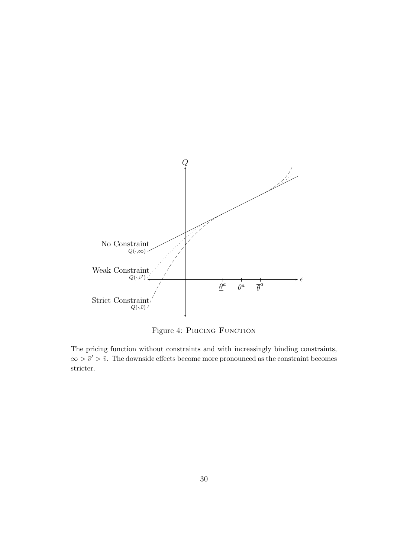

Figure 4: PRICING FUNCTION

The pricing function without constraints and with increasingly binding constraints,  $\infty > \bar{v}' > \bar{v}$ . The downside effects become more pronounced as the constraint becomes stricter.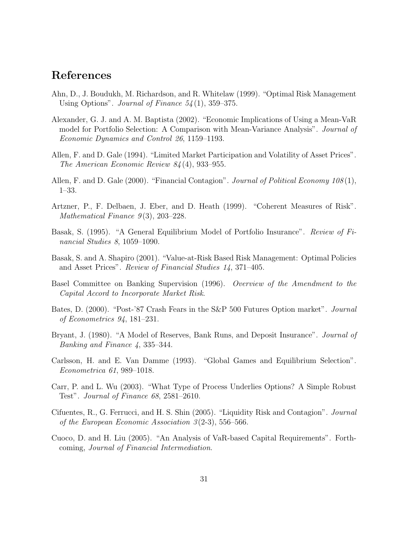## References

- Ahn, D., J. Boudukh, M. Richardson, and R. Whitelaw (1999). "Optimal Risk Management Using Options". Journal of Finance  $54(1)$ , 359–375.
- Alexander, G. J. and A. M. Baptista (2002). "Economic Implications of Using a Mean-VaR model for Portfolio Selection: A Comparison with Mean-Variance Analysis". Journal of Economic Dynamics and Control 26, 1159–1193.
- Allen, F. and D. Gale (1994). "Limited Market Participation and Volatility of Asset Prices". The American Economic Review 84 (4), 933–955.
- Allen, F. and D. Gale (2000). "Financial Contagion". Journal of Political Economy 108(1), 1–33.
- Artzner, P., F. Delbaen, J. Eber, and D. Heath (1999). "Coherent Measures of Risk". Mathematical Finance  $9(3)$ , 203-228.
- Basak, S. (1995). "A General Equilibrium Model of Portfolio Insurance". Review of Financial Studies 8, 1059–1090.
- Basak, S. and A. Shapiro (2001). "Value-at-Risk Based Risk Management: Optimal Policies and Asset Prices". Review of Financial Studies 14, 371–405.
- Basel Committee on Banking Supervision (1996). Overview of the Amendment to the Capital Accord to Incorporate Market Risk.
- Bates, D. (2000). "Post-'87 Crash Fears in the S&P 500 Futures Option market". Journal of Econometrics 94, 181–231.
- Bryant, J. (1980). "A Model of Reserves, Bank Runs, and Deposit Insurance". *Journal of* Banking and Finance 4, 335–344.
- Carlsson, H. and E. Van Damme (1993). "Global Games and Equilibrium Selection". Econometrica 61, 989–1018.
- Carr, P. and L. Wu (2003). "What Type of Process Underlies Options? A Simple Robust Test". Journal of Finance 68, 2581–2610.
- Cifuentes, R., G. Ferrucci, and H. S. Shin (2005). "Liquidity Risk and Contagion". Journal of the European Economic Association  $3(2-3)$ , 556-566.
- Cuoco, D. and H. Liu (2005). "An Analysis of VaR-based Capital Requirements". Forthcoming, Journal of Financial Intermediation.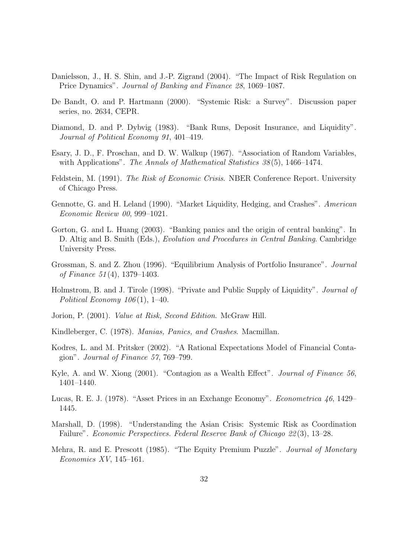- Danielsson, J., H. S. Shin, and J.-P. Zigrand (2004). "The Impact of Risk Regulation on Price Dynamics". Journal of Banking and Finance 28, 1069–1087.
- De Bandt, O. and P. Hartmann (2000). "Systemic Risk: a Survey". Discussion paper series, no. 2634, CEPR.
- Diamond, D. and P. Dybvig (1983). "Bank Runs, Deposit Insurance, and Liquidity". Journal of Political Economy 91, 401–419.
- Esary, J. D., F. Proschan, and D. W. Walkup (1967). "Association of Random Variables, with Applications". The Annals of Mathematical Statistics 38(5), 1466-1474.
- Feldstein, M. (1991). The Risk of Economic Crisis. NBER Conference Report. University of Chicago Press.
- Gennotte, G. and H. Leland (1990). "Market Liquidity, Hedging, and Crashes". American Economic Review 00, 999–1021.
- Gorton, G. and L. Huang (2003). "Banking panics and the origin of central banking". In D. Altig and B. Smith (Eds.), Evolution and Procedures in Central Banking. Cambridge University Press.
- Grossman, S. and Z. Zhou (1996). "Equilibrium Analysis of Portfolio Insurance". Journal of Finance 51 (4), 1379–1403.
- Holmstrom, B. and J. Tirole (1998). "Private and Public Supply of Liquidity". Journal of Political Economy  $106(1)$ , 1–40.
- Jorion, P. (2001). Value at Risk, Second Edition. McGraw Hill.
- Kindleberger, C. (1978). Manias, Panics, and Crashes. Macmillan.
- Kodres, L. and M. Pritsker (2002). "A Rational Expectations Model of Financial Contagion". Journal of Finance 57, 769–799.
- Kyle, A. and W. Xiong (2001). "Contagion as a Wealth Effect". Journal of Finance 56, 1401–1440.
- Lucas, R. E. J. (1978). "Asset Prices in an Exchange Economy". Econometrica 46, 1429– 1445.
- Marshall, D. (1998). "Understanding the Asian Crisis: Systemic Risk as Coordination Failure". Economic Perspectives. Federal Reserve Bank of Chicago 22 (3), 13–28.
- Mehra, R. and E. Prescott (1985). "The Equity Premium Puzzle". Journal of Monetary Economics XV, 145–161.